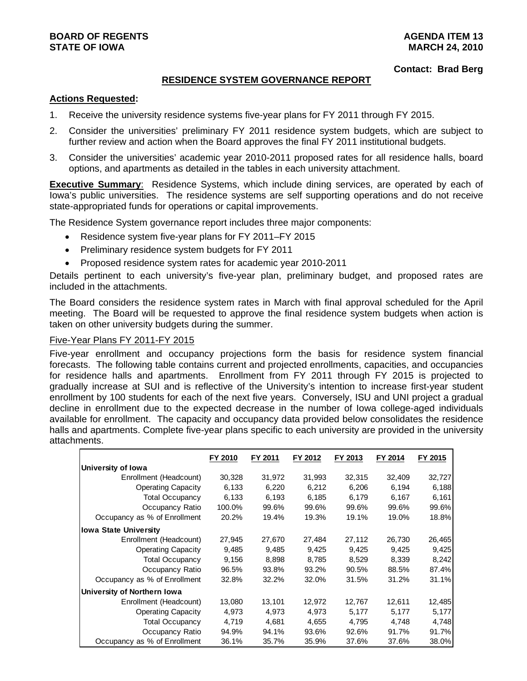#### **Contact: Brad Berg**

#### **RESIDENCE SYSTEM GOVERNANCE REPORT**

#### **Actions Requested:**

- 1. Receive the university residence systems five-year plans for FY 2011 through FY 2015.
- 2. Consider the universities' preliminary FY 2011 residence system budgets, which are subject to further review and action when the Board approves the final FY 2011 institutional budgets.
- 3. Consider the universities' academic year 2010-2011 proposed rates for all residence halls, board options, and apartments as detailed in the tables in each university attachment.

**Executive Summary:** Residence Systems, which include dining services, are operated by each of Iowa's public universities. The residence systems are self supporting operations and do not receive state-appropriated funds for operations or capital improvements.

The Residence System governance report includes three major components:

- Residence system five-year plans for FY 2011–FY 2015
- Preliminary residence system budgets for FY 2011
- Proposed residence system rates for academic year 2010-2011

Details pertinent to each university's five-year plan, preliminary budget, and proposed rates are included in the attachments.

The Board considers the residence system rates in March with final approval scheduled for the April meeting. The Board will be requested to approve the final residence system budgets when action is taken on other university budgets during the summer.

## Five-Year Plans FY 2011-FY 2015

Five-year enrollment and occupancy projections form the basis for residence system financial forecasts. The following table contains current and projected enrollments, capacities, and occupancies for residence halls and apartments. Enrollment from FY 2011 through FY 2015 is projected to gradually increase at SUI and is reflective of the University's intention to increase first-year student enrollment by 100 students for each of the next five years. Conversely, ISU and UNI project a gradual decline in enrollment due to the expected decrease in the number of Iowa college-aged individuals available for enrollment. The capacity and occupancy data provided below consolidates the residence halls and apartments. Complete five-year plans specific to each university are provided in the university attachments.

|                              | FY 2010 | FY 2011 | FY 2012 | FY 2013 | FY 2014 | FY 2015 |
|------------------------------|---------|---------|---------|---------|---------|---------|
| University of Iowa           |         |         |         |         |         |         |
| Enrollment (Headcount)       | 30,328  | 31,972  | 31,993  | 32,315  | 32,409  | 32,727  |
| <b>Operating Capacity</b>    | 6,133   | 6,220   | 6,212   | 6,206   | 6,194   | 6,188   |
| <b>Total Occupancy</b>       | 6,133   | 6,193   | 6,185   | 6,179   | 6,167   | 6,161   |
| Occupancy Ratio              | 100.0%  | 99.6%   | 99.6%   | 99.6%   | 99.6%   | 99.6%   |
| Occupancy as % of Enrollment | 20.2%   | 19.4%   | 19.3%   | 19.1%   | 19.0%   | 18.8%   |
| <b>Iowa State University</b> |         |         |         |         |         |         |
| Enrollment (Headcount)       | 27,945  | 27,670  | 27,484  | 27,112  | 26,730  | 26,465  |
| <b>Operating Capacity</b>    | 9,485   | 9,485   | 9,425   | 9,425   | 9,425   | 9,425   |
| <b>Total Occupancy</b>       | 9,156   | 8,898   | 8,785   | 8,529   | 8,339   | 8,242   |
| Occupancy Ratio              | 96.5%   | 93.8%   | 93.2%   | 90.5%   | 88.5%   | 87.4%   |
| Occupancy as % of Enrollment | 32.8%   | 32.2%   | 32.0%   | 31.5%   | 31.2%   | 31.1%   |
| University of Northern Iowa  |         |         |         |         |         |         |
| Enrollment (Headcount)       | 13,080  | 13,101  | 12,972  | 12,767  | 12,611  | 12,485  |
| <b>Operating Capacity</b>    | 4,973   | 4,973   | 4,973   | 5,177   | 5,177   | 5,177   |
| <b>Total Occupancy</b>       | 4,719   | 4,681   | 4,655   | 4,795   | 4,748   | 4,748   |
| Occupancy Ratio              | 94.9%   | 94.1%   | 93.6%   | 92.6%   | 91.7%   | 91.7%   |
| Occupancy as % of Enrollment | 36.1%   | 35.7%   | 35.9%   | 37.6%   | 37.6%   | 38.0%   |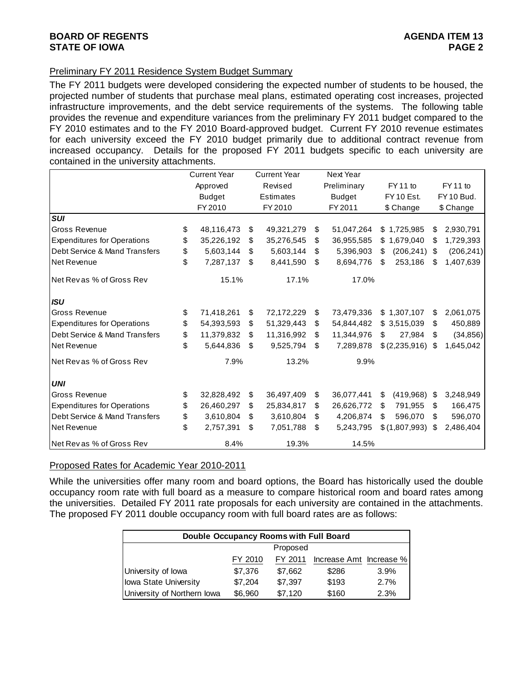## **BOARD OF REGENTS** AGENUS AGENDA ITEM 13 **STATE OF IOWA** PAGE 2

### Preliminary FY 2011 Residence System Budget Summary

The FY 2011 budgets were developed considering the expected number of students to be housed, the projected number of students that purchase meal plans, estimated operating cost increases, projected infrastructure improvements, and the debt service requirements of the systems. The following table provides the revenue and expenditure variances from the preliminary FY 2011 budget compared to the FY 2010 estimates and to the FY 2010 Board-approved budget. Current FY 2010 revenue estimates for each university exceed the FY 2010 budget primarily due to additional contract revenue from increased occupancy. Details for the proposed FY 2011 budgets specific to each university are contained in the university attachments.

|                                    | <b>Current Year</b> |      | <b>Current Year</b> | Next Year        |     |                     |     |                     |
|------------------------------------|---------------------|------|---------------------|------------------|-----|---------------------|-----|---------------------|
|                                    | Approved            |      | Revised             | Preliminary      |     | FY <sub>11</sub> to |     | FY <sub>11</sub> to |
|                                    | <b>Budget</b>       |      | Estimates           | <b>Budget</b>    |     | <b>FY 10 Est.</b>   |     | FY 10 Bud.          |
|                                    | FY 2010             |      | FY 2010             | FY 2011          |     | \$ Change           |     | \$ Change           |
| <b>SUI</b>                         |                     |      |                     |                  |     |                     |     |                     |
| Gross Revenue                      | \$<br>48,116,473    | \$   | 49,321,279          | \$<br>51,047,264 |     | \$1,725,985         | \$  | 2,930,791           |
| <b>Expenditures for Operations</b> | \$<br>35,226,192    | \$.  | 35,276,545          | \$<br>36,955,585 |     | \$1,679,040         | \$  | 1,729,393           |
| Debt Service & Mand Transfers      | \$<br>5,603,144     | \$   | 5,603,144           | \$<br>5,396,903  | \$  | (206, 241)          | -\$ | (206, 241)          |
| Net Revenue                        | \$<br>7,287,137     | -S   | 8,441,590           | \$<br>8,694,776  | \$. | 253,186             | \$  | 1,407,639           |
| Net Revas % of Gross Rev           | 15.1%               |      | 17.1%               | 17.0%            |     |                     |     |                     |
| <b>ISU</b>                         |                     |      |                     |                  |     |                     |     |                     |
| Gross Revenue                      | \$<br>71,418,261    | \$   | 72,172,229          | \$<br>73,479,336 |     | \$1,307,107         | S   | 2,061,075           |
| <b>Expenditures for Operations</b> | \$<br>54,393,593    | \$   | 51,329,443          | \$<br>54,844,482 |     | \$3,515,039         | \$  | 450,889             |
| Debt Service & Mand Transfers      | \$<br>11,379,832    | - \$ | 11,316,992          | \$<br>11,344,976 | \$  | 27,984              | \$  | (34, 856)           |
| Net Revenue                        | \$<br>5,644,836     | \$   | 9,525,794           | \$<br>7,289,878  |     | \$(2,235,916)       | -\$ | 1,645,042           |
| Net Revas % of Gross Rev           | 7.9%                |      | 13.2%               | 9.9%             |     |                     |     |                     |
| <b>UNI</b>                         |                     |      |                     |                  |     |                     |     |                     |
| Gross Revenue                      | \$<br>32,828,492    | \$   | 36,497,409          | \$<br>36,077,441 | S   | (419,968)           | -\$ | 3,248,949           |
| <b>Expenditures for Operations</b> | \$<br>26,460,297    | \$   | 25,834,817          | \$<br>26,626,772 | S   | 791,955             | \$  | 166,475             |
| Debt Service & Mand Transfers      | \$<br>3,610,804     | \$   | 3,610,804           | \$<br>4,206,874  | \$  | 596,070             | \$  | 596,070             |
| Net Revenue                        | \$<br>2,757,391     | \$   | 7,051,788           | \$<br>5,243,795  |     | \$(1,807,993)       | \$  | 2,486,404           |
| Net Revas % of Gross Rev           | 8.4%                |      | 19.3%               | 14.5%            |     |                     |     |                     |

## Proposed Rates for Academic Year 2010-2011

While the universities offer many room and board options, the Board has historically used the double occupancy room rate with full board as a measure to compare historical room and board rates among the universities. Detailed FY 2011 rate proposals for each university are contained in the attachments. The proposed FY 2011 double occupancy room with full board rates are as follows:

| Double Occupancy Rooms with Full Board |         |          |                         |      |
|----------------------------------------|---------|----------|-------------------------|------|
|                                        |         | Proposed |                         |      |
|                                        | FY 2010 | FY 2011  | Increase Amt Increase % |      |
| University of lowa                     | \$7,376 | \$7,662  | \$286                   | 3.9% |
| Iowa State University                  | \$7,204 | \$7,397  | \$193                   | 2.7% |
| University of Northern Iowa            | \$6,960 | \$7,120  | \$160                   | 2.3% |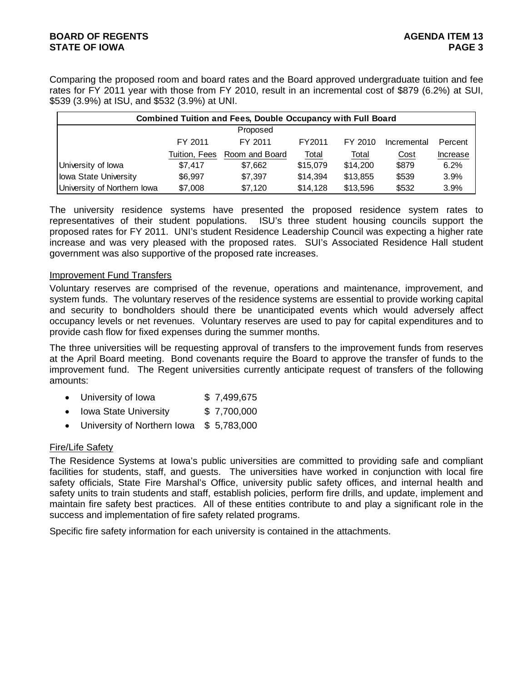Comparing the proposed room and board rates and the Board approved undergraduate tuition and fee rates for FY 2011 year with those from FY 2010, result in an incremental cost of \$879 (6.2%) at SUI, \$539 (3.9%) at ISU, and \$532 (3.9%) at UNI.

|                             |               | <b>Combined Tuition and Fees, Double Occupancy with Full Board</b> |          |          |             |          |
|-----------------------------|---------------|--------------------------------------------------------------------|----------|----------|-------------|----------|
|                             |               | Proposed                                                           |          |          |             |          |
|                             | FY 2011       | FY 2011                                                            | FY2011   | FY 2010  | Incremental | Percent  |
|                             | Tuition, Fees | Room and Board                                                     | Total    | Total    | Cost        | Increase |
| University of lowa          | \$7.417       | \$7,662                                                            | \$15,079 | \$14,200 | \$879       | 6.2%     |
| lowa State University       | \$6.997       | \$7.397                                                            | \$14,394 | \$13,855 | \$539       | 3.9%     |
| University of Northern Iowa | \$7,008       | \$7.120                                                            | \$14.128 | \$13,596 | \$532       | 3.9%     |

The university residence systems have presented the proposed residence system rates to representatives of their student populations. ISU's three student housing councils support the proposed rates for FY 2011. UNI's student Residence Leadership Council was expecting a higher rate increase and was very pleased with the proposed rates. SUI's Associated Residence Hall student government was also supportive of the proposed rate increases.

#### Improvement Fund Transfers

Voluntary reserves are comprised of the revenue, operations and maintenance, improvement, and system funds. The voluntary reserves of the residence systems are essential to provide working capital and security to bondholders should there be unanticipated events which would adversely affect occupancy levels or net revenues. Voluntary reserves are used to pay for capital expenditures and to provide cash flow for fixed expenses during the summer months.

The three universities will be requesting approval of transfers to the improvement funds from reserves at the April Board meeting. Bond covenants require the Board to approve the transfer of funds to the improvement fund. The Regent universities currently anticipate request of transfers of the following amounts:

- University of Iowa **\$7,499,675**
- Iowa State University \$7,700,000
- University of Northern Iowa \$ 5,783,000

#### Fire/Life Safety

The Residence Systems at Iowa's public universities are committed to providing safe and compliant facilities for students, staff, and guests. The universities have worked in conjunction with local fire safety officials, State Fire Marshal's Office, university public safety offices, and internal health and safety units to train students and staff, establish policies, perform fire drills, and update, implement and maintain fire safety best practices. All of these entities contribute to and play a significant role in the success and implementation of fire safety related programs.

Specific fire safety information for each university is contained in the attachments.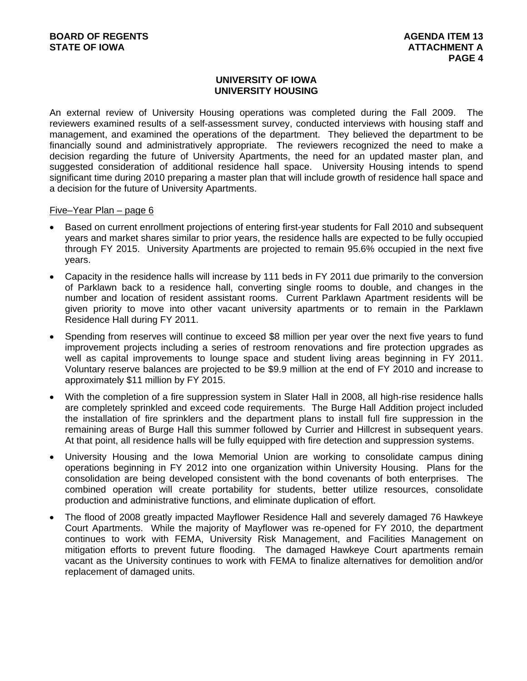#### **UNIVERSITY OF IOWA UNIVERSITY HOUSING**

An external review of University Housing operations was completed during the Fall 2009. The reviewers examined results of a self-assessment survey, conducted interviews with housing staff and management, and examined the operations of the department. They believed the department to be financially sound and administratively appropriate. The reviewers recognized the need to make a decision regarding the future of University Apartments, the need for an updated master plan, and suggested consideration of additional residence hall space. University Housing intends to spend significant time during 2010 preparing a master plan that will include growth of residence hall space and a decision for the future of University Apartments.

#### Five–Year Plan – page 6

- Based on current enrollment projections of entering first-year students for Fall 2010 and subsequent years and market shares similar to prior years, the residence halls are expected to be fully occupied through FY 2015. University Apartments are projected to remain 95.6% occupied in the next five years.
- Capacity in the residence halls will increase by 111 beds in FY 2011 due primarily to the conversion of Parklawn back to a residence hall, converting single rooms to double, and changes in the number and location of resident assistant rooms. Current Parklawn Apartment residents will be given priority to move into other vacant university apartments or to remain in the Parklawn Residence Hall during FY 2011.
- Spending from reserves will continue to exceed \$8 million per year over the next five years to fund improvement projects including a series of restroom renovations and fire protection upgrades as well as capital improvements to lounge space and student living areas beginning in FY 2011. Voluntary reserve balances are projected to be \$9.9 million at the end of FY 2010 and increase to approximately \$11 million by FY 2015.
- With the completion of a fire suppression system in Slater Hall in 2008, all high-rise residence halls are completely sprinkled and exceed code requirements. The Burge Hall Addition project included the installation of fire sprinklers and the department plans to install full fire suppression in the remaining areas of Burge Hall this summer followed by Currier and Hillcrest in subsequent years. At that point, all residence halls will be fully equipped with fire detection and suppression systems.
- University Housing and the Iowa Memorial Union are working to consolidate campus dining operations beginning in FY 2012 into one organization within University Housing. Plans for the consolidation are being developed consistent with the bond covenants of both enterprises. The combined operation will create portability for students, better utilize resources, consolidate production and administrative functions, and eliminate duplication of effort.
- The flood of 2008 greatly impacted Mayflower Residence Hall and severely damaged 76 Hawkeye Court Apartments. While the majority of Mayflower was re-opened for FY 2010, the department continues to work with FEMA, University Risk Management, and Facilities Management on mitigation efforts to prevent future flooding. The damaged Hawkeye Court apartments remain vacant as the University continues to work with FEMA to finalize alternatives for demolition and/or replacement of damaged units.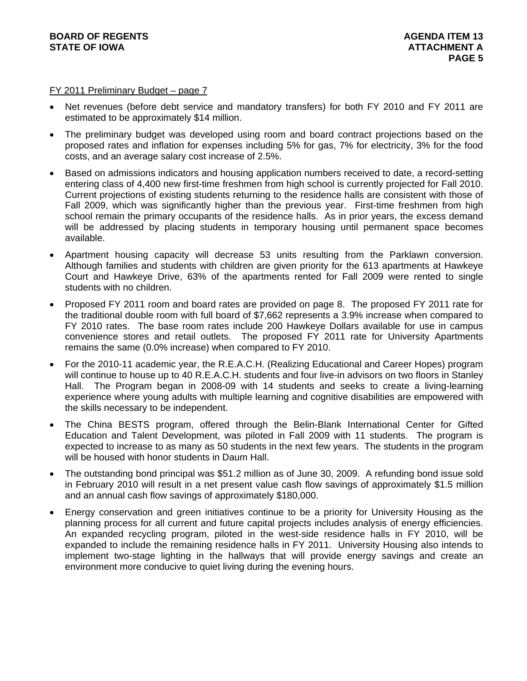#### FY 2011 Preliminary Budget – page 7

- Net revenues (before debt service and mandatory transfers) for both FY 2010 and FY 2011 are estimated to be approximately \$14 million.
- The preliminary budget was developed using room and board contract projections based on the proposed rates and inflation for expenses including 5% for gas, 7% for electricity, 3% for the food costs, and an average salary cost increase of 2.5%.
- Based on admissions indicators and housing application numbers received to date, a record-setting entering class of 4,400 new first-time freshmen from high school is currently projected for Fall 2010. Current projections of existing students returning to the residence halls are consistent with those of Fall 2009, which was significantly higher than the previous year. First-time freshmen from high school remain the primary occupants of the residence halls. As in prior years, the excess demand will be addressed by placing students in temporary housing until permanent space becomes available.
- Apartment housing capacity will decrease 53 units resulting from the Parklawn conversion. Although families and students with children are given priority for the 613 apartments at Hawkeye Court and Hawkeye Drive, 63% of the apartments rented for Fall 2009 were rented to single students with no children.
- Proposed FY 2011 room and board rates are provided on page 8. The proposed FY 2011 rate for the traditional double room with full board of \$7,662 represents a 3.9% increase when compared to FY 2010 rates. The base room rates include 200 Hawkeye Dollars available for use in campus convenience stores and retail outlets. The proposed FY 2011 rate for University Apartments remains the same (0.0% increase) when compared to FY 2010.
- For the 2010-11 academic year, the R.E.A.C.H. (Realizing Educational and Career Hopes) program will continue to house up to 40 R.E.A.C.H. students and four live-in advisors on two floors in Stanley Hall. The Program began in 2008-09 with 14 students and seeks to create a living-learning experience where young adults with multiple learning and cognitive disabilities are empowered with the skills necessary to be independent.
- The China BESTS program, offered through the Belin-Blank International Center for Gifted Education and Talent Development, was piloted in Fall 2009 with 11 students. The program is expected to increase to as many as 50 students in the next few years. The students in the program will be housed with honor students in Daum Hall.
- The outstanding bond principal was \$51.2 million as of June 30, 2009. A refunding bond issue sold in February 2010 will result in a net present value cash flow savings of approximately \$1.5 million and an annual cash flow savings of approximately \$180,000.
- Energy conservation and green initiatives continue to be a priority for University Housing as the planning process for all current and future capital projects includes analysis of energy efficiencies. An expanded recycling program, piloted in the west-side residence halls in FY 2010, will be expanded to include the remaining residence halls in FY 2011. University Housing also intends to implement two-stage lighting in the hallways that will provide energy savings and create an environment more conducive to quiet living during the evening hours.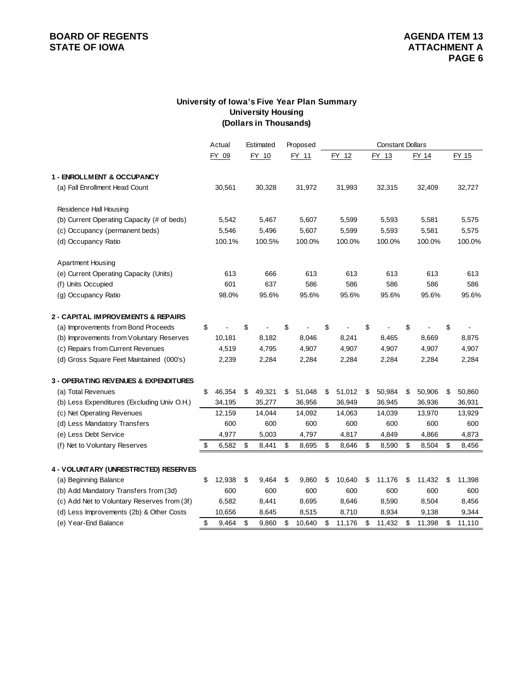# **BOARD OF REGENTS**<br> **BOARD OF REGENTS**<br> **BOARD OF IOWA**<br> **ATTACHMENT A**

## **University of Iowa's Five Year Plan Summary University Housing (Dollars in Thousands)**

|                                               | Actual       | Estimated    | Proposed     |              | <b>Constant Dollars</b> |              |    |        |
|-----------------------------------------------|--------------|--------------|--------------|--------------|-------------------------|--------------|----|--------|
|                                               | FY 09        | FY 10        | FY 11        | FY 12        | FY 13                   | FY 14        |    | FY 15  |
| 1 - ENROLLMENT & OCCUPANCY                    |              |              |              |              |                         |              |    |        |
| (a) Fall Enrollment Head Count                | 30,561       | 30,328       | 31,972       | 31,993       | 32,315                  | 32,409       |    | 32,727 |
| Residence Hall Housing                        |              |              |              |              |                         |              |    |        |
| (b) Current Operating Capacity (# of beds)    | 5,542        | 5,467        | 5,607        | 5,599        | 5,593                   | 5,581        |    | 5,575  |
| (c) Occupancy (permanent beds)                | 5,546        | 5,496        | 5,607        | 5,599        | 5,593                   | 5,581        |    | 5,575  |
| (d) Occupancy Ratio                           | 100.1%       | 100.5%       | 100.0%       | 100.0%       | 100.0%                  | 100.0%       |    | 100.0% |
| <b>Apartment Housing</b>                      |              |              |              |              |                         |              |    |        |
| (e) Current Operating Capacity (Units)        | 613          | 666          | 613          | 613          | 613                     | 613          |    | 613    |
| (f) Units Occupied                            | 601          | 637          | 586          | 586          | 586                     | 586          |    | 586    |
| (g) Occupancy Ratio                           | 98.0%        | 95.6%        | 95.6%        | 95.6%        | 95.6%                   | 95.6%        |    | 95.6%  |
| <b>2 - CAPITAL IMPROVEMENTS &amp; REPAIRS</b> |              |              |              |              |                         |              |    |        |
| (a) Improvements from Bond Proceeds           | \$           | \$           | \$           | \$           | \$                      | \$           | \$ |        |
| (b) Improvements from Voluntary Reserves      | 10,181       | 8,182        | 8,046        | 8,241        | 8,465                   | 8,669        |    | 8,875  |
| (c) Repairs from Current Revenues             | 4,519        | 4,795        | 4,907        | 4,907        | 4,907                   | 4,907        |    | 4,907  |
| (d) Gross Square Feet Maintained (000's)      | 2,239        | 2,284        | 2,284        | 2,284        | 2,284                   | 2,284        |    | 2,284  |
| 3 - OPERATING REVENUES & EXPENDITURES         |              |              |              |              |                         |              |    |        |
| (a) Total Revenues                            | \$<br>46,354 | \$<br>49,321 | \$<br>51,048 | \$<br>51,012 | \$<br>50,984            | \$<br>50,906 | \$ | 50,860 |
| (b) Less Expenditures (Excluding Univ O.H.)   | 34,195       | 35,277       | 36,956       | 36,949       | 36,945                  | 36,936       |    | 36,931 |
| (c) Net Operating Revenues                    | 12,159       | 14,044       | 14,092       | 14,063       | 14,039                  | 13,970       |    | 13,929 |
| (d) Less Mandatory Transfers                  | 600          | 600          | 600          | 600          | 600                     | 600          |    | 600    |
| (e) Less Debt Service                         | 4,977        | 5,003        | 4,797        | 4,817        | 4,849                   | 4,866        |    | 4,873  |
| (f) Net to Voluntary Reserves                 | \$<br>6,582  | \$<br>8,441  | \$<br>8,695  | \$<br>8,646  | \$<br>8,590             | \$<br>8,504  | \$ | 8,456  |
| 4 - VOLUNTARY (UNRESTRICTED) RESERVES         |              |              |              |              |                         |              |    |        |
| (a) Beginning Balance                         | \$<br>12,938 | \$<br>9,464  | \$<br>9,860  | \$<br>10,640 | \$<br>11,176            | \$<br>11,432 | \$ | 11,398 |
| (b) Add Mandatory Transfers from (3d)         | 600          | 600          | 600          | 600          | 600                     | 600          |    | 600    |
| (c) Add Net to Voluntary Reserves from (3f)   | 6,582        | 8,441        | 8,695        | 8,646        | 8,590                   | 8,504        |    | 8,456  |
| (d) Less Improvements (2b) & Other Costs      | 10,656       | 8,645        | 8,515        | 8,710        | 8,934                   | 9,138        |    | 9,344  |
| (e) Year-End Balance                          | \$<br>9,464  | \$<br>9,860  | \$<br>10,640 | \$<br>11,176 | \$<br>11,432            | \$<br>11,398 | \$ | 11,110 |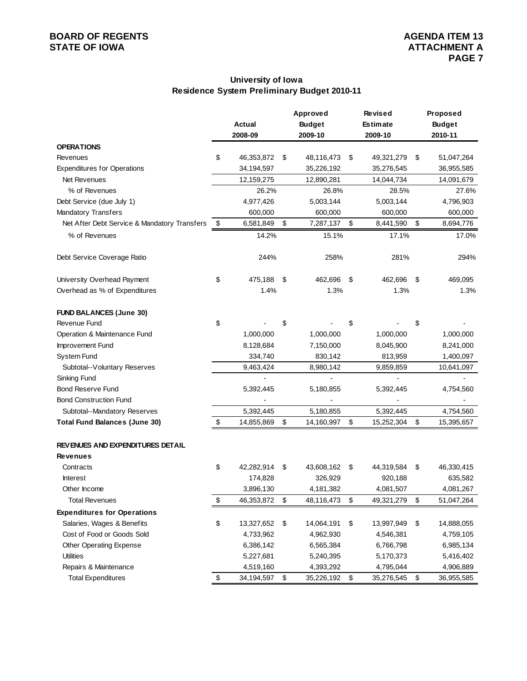## **University of Iowa Residence System Preliminary Budget 2010-11**

|                                              | Approved<br><b>Revised</b> |               |    |                          |    |                 |    | Proposed      |  |  |  |  |
|----------------------------------------------|----------------------------|---------------|----|--------------------------|----|-----------------|----|---------------|--|--|--|--|
|                                              |                            | <b>Actual</b> |    | <b>Budget</b>            |    | <b>Estimate</b> |    | <b>Budget</b> |  |  |  |  |
|                                              |                            | 2008-09       |    | 2009-10                  |    | 2009-10         |    | 2010-11       |  |  |  |  |
| <b>OPERATIONS</b>                            |                            |               |    |                          |    |                 |    |               |  |  |  |  |
| Revenues                                     | \$                         | 46,353,872    | \$ | 48,116,473               | \$ | 49,321,279      | \$ | 51,047,264    |  |  |  |  |
| <b>Expenditures for Operations</b>           |                            | 34,194,597    |    | 35,226,192               |    | 35,276,545      |    | 36,955,585    |  |  |  |  |
| Net Revenues                                 |                            | 12,159,275    |    | 12,890,281               |    | 14,044,734      |    | 14,091,679    |  |  |  |  |
| % of Revenues                                |                            | 26.2%         |    | 26.8%                    |    | 28.5%           |    | 27.6%         |  |  |  |  |
| Debt Service (due July 1)                    |                            | 4,977,426     |    | 5,003,144                |    | 5,003,144       |    | 4,796,903     |  |  |  |  |
| Mandatory Transfers                          |                            | 600,000       |    | 600,000                  |    | 600,000         |    | 600,000       |  |  |  |  |
| Net After Debt Service & Mandatory Transfers | \$                         | 6,581,849     | \$ | 7,287,137                | \$ | 8,441,590       | \$ | 8,694,776     |  |  |  |  |
| % of Revenues                                |                            | 14.2%         |    | 15.1%                    |    | 17.1%           |    | 17.0%         |  |  |  |  |
| Debt Service Coverage Ratio                  |                            | 244%          |    | 258%                     |    | 281%            |    | 294%          |  |  |  |  |
| University Overhead Payment                  | \$                         | 475,188       | \$ | 462,696                  | \$ | 462,696         | \$ | 469,095       |  |  |  |  |
| Overhead as % of Expenditures                |                            | 1.4%          |    | 1.3%                     |    | 1.3%            |    | 1.3%          |  |  |  |  |
| <b>FUND BALANCES (June 30)</b>               |                            |               |    |                          |    |                 |    |               |  |  |  |  |
| Revenue Fund                                 | \$                         |               | \$ |                          | \$ |                 | \$ |               |  |  |  |  |
| Operation & Maintenance Fund                 |                            | 1,000,000     |    | 1,000,000                |    | 1,000,000       |    | 1,000,000     |  |  |  |  |
| Improvement Fund                             |                            | 8,128,684     |    | 7,150,000                |    | 8,045,900       |    | 8,241,000     |  |  |  |  |
| System Fund                                  |                            | 334,740       |    | 830,142                  |    | 813,959         |    | 1,400,097     |  |  |  |  |
| Subtotal--Voluntary Reserves                 |                            | 9,463,424     |    | 8,980,142                |    | 9,859,859       |    | 10,641,097    |  |  |  |  |
| Sinking Fund                                 |                            | ÷,            |    | $\overline{\phantom{0}}$ |    | $\overline{a}$  |    |               |  |  |  |  |
| <b>Bond Reserve Fund</b>                     |                            | 5,392,445     |    | 5,180,855                |    | 5,392,445       |    | 4,754,560     |  |  |  |  |
| <b>Bond Construction Fund</b>                |                            |               |    |                          |    |                 |    |               |  |  |  |  |
| Subtotal--Mandatory Reserves                 |                            | 5,392,445     |    | 5,180,855                |    | 5,392,445       |    | 4,754,560     |  |  |  |  |
| <b>Total Fund Balances (June 30)</b>         | \$                         | 14,855,869    | \$ | 14,160,997               | \$ | 15,252,304      | \$ | 15,395,657    |  |  |  |  |
| REVENUES AND EXPENDITURES DETAIL             |                            |               |    |                          |    |                 |    |               |  |  |  |  |
| <b>Revenues</b>                              |                            |               |    |                          |    |                 |    |               |  |  |  |  |
| Contracts                                    | \$                         | 42,282,914    | \$ | 43,608,162               | \$ | 44,319,584      | \$ | 46,330,415    |  |  |  |  |
| <b>Interest</b>                              |                            | 174,828       |    | 326,929                  |    | 920,188         |    | 635,582       |  |  |  |  |
| Other Income                                 |                            | 3,896,130     |    | 4,181,382                |    | 4,081,507       |    | 4,081,267     |  |  |  |  |
| <b>Total Revenues</b>                        | \$                         | 46,353,872    | \$ | 48,116,473               | \$ | 49,321,279      | \$ | 51,047,264    |  |  |  |  |
| <b>Expenditures for Operations</b>           |                            |               |    |                          |    |                 |    |               |  |  |  |  |
| Salaries, Wages & Benefits                   | \$                         | 13,327,652    | \$ | 14,064,191               | \$ | 13,997,949      | \$ | 14,888,055    |  |  |  |  |
| Cost of Food or Goods Sold                   |                            | 4,733,962     |    | 4,962,930                |    | 4,546,381       |    | 4,759,105     |  |  |  |  |
| Other Operating Expense                      |                            | 6,386,142     |    | 6,565,384                |    | 6,766,798       |    | 6,985,134     |  |  |  |  |
| <b>Utilities</b>                             |                            | 5,227,681     |    | 5,240,395                |    | 5,170,373       |    | 5,416,402     |  |  |  |  |
| Repairs & Maintenance                        |                            | 4,519,160     |    | 4,393,292                |    | 4,795,044       |    | 4,906,889     |  |  |  |  |
| <b>Total Expenditures</b>                    | \$                         | 34,194,597    | \$ | 35,226,192               | \$ | 35,276,545      | \$ | 36,955,585    |  |  |  |  |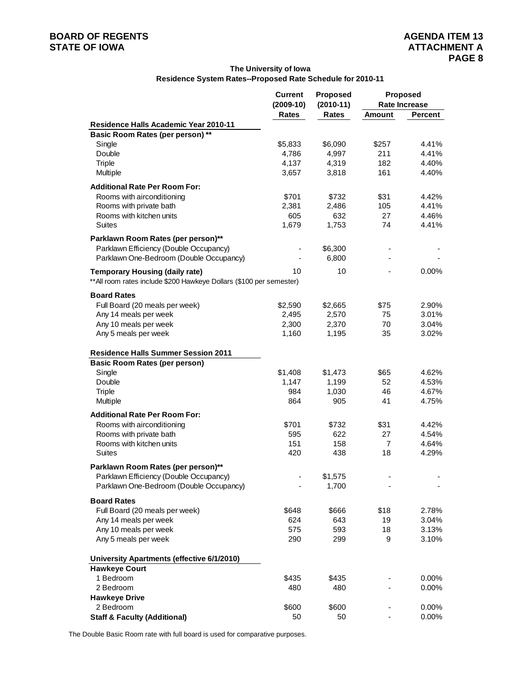#### **The University of Iowa Residence System Rates--Proposed Rate Schedule for 2010-11**

|                                                                      | <b>Current</b>       | <b>Proposed</b>      |               | Proposed                        |
|----------------------------------------------------------------------|----------------------|----------------------|---------------|---------------------------------|
|                                                                      | $(2009-10)$<br>Rates | $(2010-11)$<br>Rates | <b>Amount</b> | <b>Rate Increase</b><br>Percent |
| Residence Halls Academic Year 2010-11                                |                      |                      |               |                                 |
| Basic Room Rates (per person) **                                     |                      |                      |               |                                 |
| Single                                                               | \$5,833              | \$6,090              | \$257         | 4.41%                           |
| Double                                                               | 4,786                | 4,997                | 211           | 4.41%                           |
| <b>Triple</b>                                                        | 4,137                | 4,319                | 182           | 4.40%                           |
| Multiple                                                             | 3,657                | 3,818                | 161           | 4.40%                           |
| <b>Additional Rate Per Room For:</b>                                 |                      |                      |               |                                 |
| Rooms with airconditioning                                           | \$701                | \$732                | \$31          | 4.42%                           |
| Rooms with private bath                                              | 2,381                | 2,486                | 105           | 4.41%                           |
| Rooms with kitchen units                                             | 605                  | 632                  | 27            | 4.46%                           |
| <b>Suites</b>                                                        | 1,679                | 1,753                | 74            | 4.41%                           |
| Parklawn Room Rates (per person)**                                   |                      |                      |               |                                 |
| Parklawn Efficiency (Double Occupancy)                               |                      | \$6,300              |               |                                 |
| Parklawn One-Bedroom (Double Occupancy)                              |                      | 6,800                |               |                                 |
| <b>Temporary Housing (daily rate)</b>                                | 10                   | 10                   |               | 0.00%                           |
| ** All room rates include \$200 Hawkeye Dollars (\$100 per semester) |                      |                      |               |                                 |
|                                                                      |                      |                      |               |                                 |
| <b>Board Rates</b>                                                   |                      |                      |               |                                 |
| Full Board (20 meals per week)                                       | \$2,590              | \$2,665              | \$75          | 2.90%                           |
| Any 14 meals per week                                                | 2,495                | 2,570                | 75            | 3.01%                           |
| Any 10 meals per week                                                | 2,300                | 2,370                | 70            | 3.04%                           |
| Any 5 meals per week                                                 | 1,160                | 1,195                | 35            | 3.02%                           |
| <b>Residence Halls Summer Session 2011</b>                           |                      |                      |               |                                 |
| <b>Basic Room Rates (per person)</b>                                 |                      |                      |               |                                 |
| Single                                                               | \$1,408              | \$1,473              | \$65          | 4.62%                           |
| Double                                                               | 1,147                | 1,199                | 52            | 4.53%                           |
| <b>Triple</b>                                                        | 984                  | 1,030                | 46            | 4.67%                           |
| Multiple                                                             | 864                  | 905                  | 41            | 4.75%                           |
| <b>Additional Rate Per Room For:</b>                                 |                      |                      |               |                                 |
| Rooms with airconditioning                                           | \$701                | \$732                | \$31          | 4.42%                           |
| Rooms with private bath                                              | 595                  | 622                  | 27            | 4.54%                           |
| Rooms with kitchen units                                             | 151                  | 158                  | 7             | 4.64%                           |
| Suites                                                               | 420                  | 438                  | 18            | 4.29%                           |
| Parklawn Room Rates (per person)**                                   |                      |                      |               |                                 |
| Parklawn Efficiency (Double Occupancy)                               |                      | \$1,575              |               |                                 |
| Parklawn One-Bedroom (Double Occupancy)                              |                      | 1,700                |               |                                 |
|                                                                      |                      |                      |               |                                 |
| <b>Board Rates</b>                                                   |                      |                      |               |                                 |
| Full Board (20 meals per week)                                       | \$648                | \$666                | \$18          | 2.78%                           |
| Any 14 meals per week                                                | 624                  | 643                  | 19            | 3.04%                           |
| Any 10 meals per week                                                | 575                  | 593                  | 18            | 3.13%                           |
| Any 5 meals per week                                                 | 290                  | 299                  | 9             | 3.10%                           |
| University Apartments (effective 6/1/2010)                           |                      |                      |               |                                 |
| <b>Hawkeye Court</b>                                                 |                      |                      |               |                                 |
| 1 Bedroom                                                            | \$435                | \$435                |               | 0.00%                           |
| 2 Bedroom                                                            | 480                  | 480                  |               | 0.00%                           |
| <b>Hawkeye Drive</b>                                                 |                      |                      |               |                                 |
| 2 Bedroom                                                            | \$600                | \$600                |               | 0.00%                           |
| <b>Staff &amp; Faculty (Additional)</b>                              | 50                   | 50                   |               | $0.00\%$                        |
|                                                                      |                      |                      |               |                                 |

The Double Basic Room rate with full board is used for comparative purposes.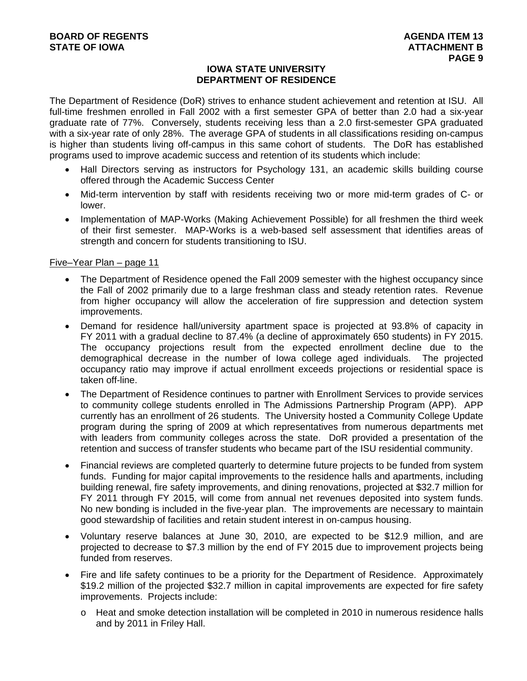### **IOWA STATE UNIVERSITY DEPARTMENT OF RESIDENCE**

The Department of Residence (DoR) strives to enhance student achievement and retention at ISU. All full-time freshmen enrolled in Fall 2002 with a first semester GPA of better than 2.0 had a six-year graduate rate of 77%. Conversely, students receiving less than a 2.0 first-semester GPA graduated with a six-year rate of only 28%. The average GPA of students in all classifications residing on-campus is higher than students living off-campus in this same cohort of students. The DoR has established programs used to improve academic success and retention of its students which include:

- Hall Directors serving as instructors for Psychology 131, an academic skills building course offered through the Academic Success Center
- Mid-term intervention by staff with residents receiving two or more mid-term grades of C- or lower.
- Implementation of MAP-Works (Making Achievement Possible) for all freshmen the third week of their first semester. MAP-Works is a web-based self assessment that identifies areas of strength and concern for students transitioning to ISU.

#### Five–Year Plan – page 11

- The Department of Residence opened the Fall 2009 semester with the highest occupancy since the Fall of 2002 primarily due to a large freshman class and steady retention rates. Revenue from higher occupancy will allow the acceleration of fire suppression and detection system improvements.
- Demand for residence hall/university apartment space is projected at 93.8% of capacity in FY 2011 with a gradual decline to 87.4% (a decline of approximately 650 students) in FY 2015. The occupancy projections result from the expected enrollment decline due to the demographical decrease in the number of Iowa college aged individuals. The projected occupancy ratio may improve if actual enrollment exceeds projections or residential space is taken off-line.
- The Department of Residence continues to partner with Enrollment Services to provide services to community college students enrolled in The Admissions Partnership Program (APP). APP currently has an enrollment of 26 students. The University hosted a Community College Update program during the spring of 2009 at which representatives from numerous departments met with leaders from community colleges across the state. DoR provided a presentation of the retention and success of transfer students who became part of the ISU residential community.
- Financial reviews are completed quarterly to determine future projects to be funded from system funds. Funding for major capital improvements to the residence halls and apartments, including building renewal, fire safety improvements, and dining renovations, projected at \$32.7 million for FY 2011 through FY 2015, will come from annual net revenues deposited into system funds. No new bonding is included in the five-year plan. The improvements are necessary to maintain good stewardship of facilities and retain student interest in on-campus housing.
- Voluntary reserve balances at June 30, 2010, are expected to be \$12.9 million, and are projected to decrease to \$7.3 million by the end of FY 2015 due to improvement projects being funded from reserves.
- Fire and life safety continues to be a priority for the Department of Residence. Approximately \$19.2 million of the projected \$32.7 million in capital improvements are expected for fire safety improvements. Projects include:
	- o Heat and smoke detection installation will be completed in 2010 in numerous residence halls and by 2011 in Friley Hall.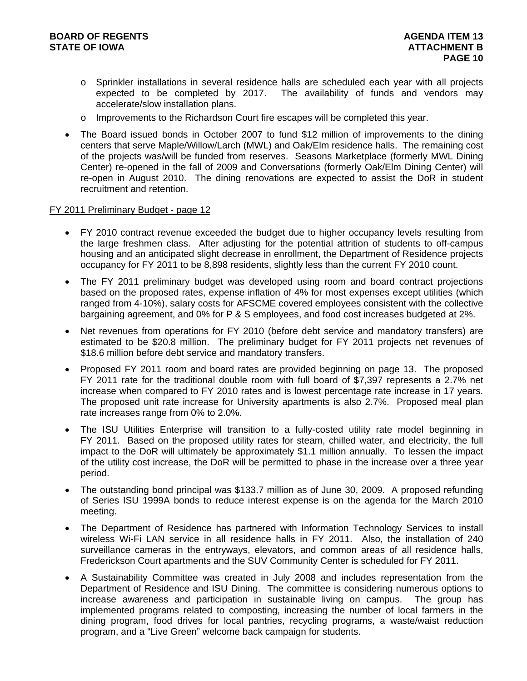- o Sprinkler installations in several residence halls are scheduled each year with all projects expected to be completed by 2017. The availability of funds and vendors may accelerate/slow installation plans.
- o Improvements to the Richardson Court fire escapes will be completed this year.
- The Board issued bonds in October 2007 to fund \$12 million of improvements to the dining centers that serve Maple/Willow/Larch (MWL) and Oak/Elm residence halls. The remaining cost of the projects was/will be funded from reserves. Seasons Marketplace (formerly MWL Dining Center) re-opened in the fall of 2009 and Conversations (formerly Oak/Elm Dining Center) will re-open in August 2010. The dining renovations are expected to assist the DoR in student recruitment and retention.

#### FY 2011 Preliminary Budget - page 12

- FY 2010 contract revenue exceeded the budget due to higher occupancy levels resulting from the large freshmen class. After adjusting for the potential attrition of students to off-campus housing and an anticipated slight decrease in enrollment, the Department of Residence projects occupancy for FY 2011 to be 8,898 residents, slightly less than the current FY 2010 count.
- The FY 2011 preliminary budget was developed using room and board contract projections based on the proposed rates, expense inflation of 4% for most expenses except utilities (which ranged from 4-10%), salary costs for AFSCME covered employees consistent with the collective bargaining agreement, and 0% for P & S employees, and food cost increases budgeted at 2%.
- Net revenues from operations for FY 2010 (before debt service and mandatory transfers) are estimated to be \$20.8 million. The preliminary budget for FY 2011 projects net revenues of \$18.6 million before debt service and mandatory transfers.
- Proposed FY 2011 room and board rates are provided beginning on page 13. The proposed FY 2011 rate for the traditional double room with full board of \$7,397 represents a 2.7% net increase when compared to FY 2010 rates and is lowest percentage rate increase in 17 years. The proposed unit rate increase for University apartments is also 2.7%. Proposed meal plan rate increases range from 0% to 2.0%.
- The ISU Utilities Enterprise will transition to a fully-costed utility rate model beginning in FY 2011. Based on the proposed utility rates for steam, chilled water, and electricity, the full impact to the DoR will ultimately be approximately \$1.1 million annually. To lessen the impact of the utility cost increase, the DoR will be permitted to phase in the increase over a three year period.
- The outstanding bond principal was \$133.7 million as of June 30, 2009. A proposed refunding of Series ISU 1999A bonds to reduce interest expense is on the agenda for the March 2010 meeting.
- The Department of Residence has partnered with Information Technology Services to install wireless Wi-Fi LAN service in all residence halls in FY 2011. Also, the installation of 240 surveillance cameras in the entryways, elevators, and common areas of all residence halls, Frederickson Court apartments and the SUV Community Center is scheduled for FY 2011.
- A Sustainability Committee was created in July 2008 and includes representation from the Department of Residence and ISU Dining. The committee is considering numerous options to increase awareness and participation in sustainable living on campus. The group has implemented programs related to composting, increasing the number of local farmers in the dining program, food drives for local pantries, recycling programs, a waste/waist reduction program, and a "Live Green" welcome back campaign for students.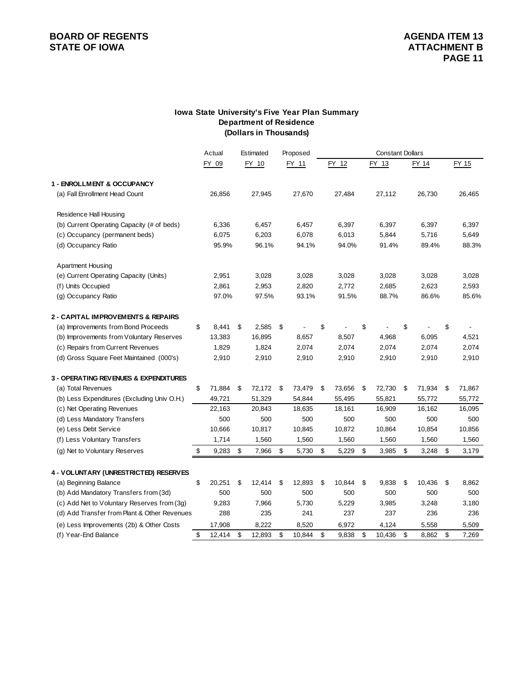# **BOARD OF REGENTS**<br> **BOARD OF REGENTS**<br> **BOARD OF IOWA**<br> **ATTACHMENT B**

#### **Department of Residence Iowa State University's Five Year Plan Summary (Dollars in Thousands)**

|                                                  | Actual       | Estimated    |     | Proposed |              |    | <b>Constant Dollars</b> |              |              |
|--------------------------------------------------|--------------|--------------|-----|----------|--------------|----|-------------------------|--------------|--------------|
|                                                  | FY 09        | FY 10        |     | FY 11    | FY 12        |    | FY 13                   | FY 14        | FY 15        |
| 1 - ENROLLMENT & OCCUPANCY                       |              |              |     |          |              |    |                         |              |              |
| (a) Fall Enrollment Head Count                   | 26,856       | 27,945       |     | 27,670   | 27,484       |    | 27,112                  | 26,730       | 26,465       |
| <b>Residence Hall Housing</b>                    |              |              |     |          |              |    |                         |              |              |
| (b) Current Operating Capacity (# of beds)       | 6,336        | 6,457        |     | 6,457    | 6,397        |    | 6,397                   | 6,397        | 6,397        |
| (c) Occupancy (permanent beds)                   | 6,075        | 6,203        |     | 6,078    | 6,013        |    | 5,844                   | 5,716        | 5,649        |
| (d) Occupancy Ratio                              | 95.9%        | 96.1%        |     | 94.1%    | 94.0%        |    | 91.4%                   | 89.4%        | 88.3%        |
| <b>Apartment Housing</b>                         |              |              |     |          |              |    |                         |              |              |
| (e) Current Operating Capacity (Units)           | 2,951        | 3,028        |     | 3,028    | 3,028        |    | 3,028                   | 3,028        | 3,028        |
| (f) Units Occupied                               | 2,861        | 2,953        |     | 2,820    | 2,772        |    | 2,685                   | 2,623        | 2,593        |
| (g) Occupancy Ratio                              | 97.0%        | 97.5%        |     | 93.1%    | 91.5%        |    | 88.7%                   | 86.6%        | 85.6%        |
| 2 - CAPITAL IMPROVEMENTS & REPAIRS               |              |              |     |          |              |    |                         |              |              |
| (a) Improvements from Bond Proceeds              | \$<br>8,441  | \$<br>2,585  | -\$ |          | \$           | \$ |                         | \$           | \$           |
| (b) Improvements from Voluntary Reserves         | 13,383       | 16,895       |     | 8,657    | 8,507        |    | 4,968                   | 6,095        | 4,521        |
| (c) Repairs from Current Revenues                | 1,829        | 1,824        |     | 2,074    | 2,074        |    | 2,074                   | 2,074        | 2,074        |
| (d) Gross Square Feet Maintained (000's)         | 2,910        | 2,910        |     | 2,910    | 2,910        |    | 2,910                   | 2,910        | 2,910        |
| <b>3 - OPERATING REVENUES &amp; EXPENDITURES</b> |              |              |     |          |              |    |                         |              |              |
| (a) Total Revenues                               | \$<br>71,884 | \$<br>72,172 | \$  | 73,479   | \$<br>73,656 | S  | 72,730                  | \$<br>71,934 | \$<br>71,867 |
| (b) Less Expenditures (Excluding Univ O.H.)      | 49,721       | 51,329       |     | 54,844   | 55,495       |    | 55,821                  | 55,772       | 55,772       |
| (c) Net Operating Revenues                       | 22,163       | 20,843       |     | 18,635   | 18,161       |    | 16,909                  | 16,162       | 16,095       |
| (d) Less Mandatory Transfers                     | 500          | 500          |     | 500      | 500          |    | 500                     | 500          | 500          |
| (e) Less Debt Service                            | 10,666       | 10,817       |     | 10,845   | 10,872       |    | 10,864                  | 10,854       | 10,856       |
| (f) Less Voluntary Transfers                     | 1,714        | 1,560        |     | 1,560    | 1,560        |    | 1,560                   | 1,560        | 1,560        |
| (g) Net to Voluntary Reserves                    | \$<br>9,283  | \$<br>7,966  | \$  | 5,730    | \$<br>5,229  | \$ | 3,985                   | \$<br>3,248  | \$<br>3,179  |
| 4 - VOLUNTARY (UNRESTRICTED) RESERVES            |              |              |     |          |              |    |                         |              |              |
| (a) Beginning Balance                            | \$<br>20,251 | \$<br>12,414 | \$  | 12,893   | \$<br>10,844 | \$ | 9,838                   | \$<br>10,436 | \$<br>8,862  |
| (b) Add Mandatory Transfers from (3d)            | 500          | 500          |     | 500      | 500          |    | 500                     | 500          | 500          |
| (c) Add Net to Voluntary Reserves from (3g)      | 9,283        | 7,966        |     | 5,730    | 5,229        |    | 3,985                   | 3,248        | 3,180        |
| (d) Add Transfer from Plant & Other Revenues     | 288          | 235          |     | 241      | 237          |    | 237                     | 236          | 236          |
| (e) Less Improvements (2b) & Other Costs         | 17,908       | 8,222        |     | 8,520    | 6,972        |    | 4,124                   | 5,558        | 5,509        |
| (f) Year-End Balance                             | \$<br>12.414 | \$<br>12,893 | \$  | 10,844   | \$<br>9,838  | \$ | 10.436                  | \$<br>8,862  | \$<br>7,269  |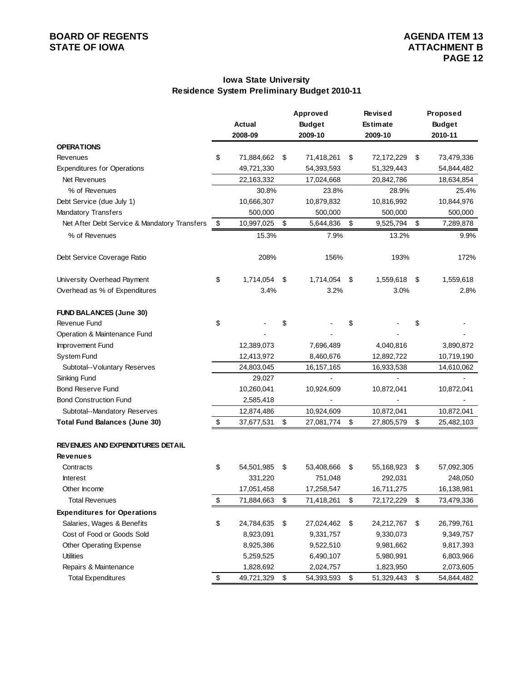## **Iowa State University Residence System Preliminary Budget 2010-11**

|                                              | Approved<br><b>Revised</b> |               |    |               |    |                 |    |               |
|----------------------------------------------|----------------------------|---------------|----|---------------|----|-----------------|----|---------------|
|                                              |                            | <b>Actual</b> |    | <b>Budget</b> |    | <b>Estimate</b> |    | <b>Budget</b> |
|                                              |                            | 2008-09       |    | 2009-10       |    | 2009-10         |    | 2010-11       |
| <b>OPERATIONS</b>                            |                            |               |    |               |    |                 |    |               |
| Revenues                                     | \$                         | 71,884,662    | \$ | 71,418,261    | \$ | 72,172,229      | \$ | 73,479,336    |
| <b>Expenditures for Operations</b>           |                            | 49,721,330    |    | 54,393,593    |    | 51,329,443      |    | 54,844,482    |
| Net Revenues                                 |                            | 22,163,332    |    | 17,024,668    |    | 20,842,786      |    | 18,634,854    |
| % of Revenues                                |                            | 30.8%         |    | 23.8%         |    | 28.9%           |    | 25.4%         |
| Debt Service (due July 1)                    |                            | 10,666,307    |    | 10,879,832    |    | 10,816,992      |    | 10,844,976    |
| <b>Mandatory Transfers</b>                   |                            | 500,000       |    | 500,000       |    | 500,000         |    | 500,000       |
| Net After Debt Service & Mandatory Transfers | \$                         | 10,997,025    | \$ | 5,644,836     | \$ | 9,525,794       | \$ | 7,289,878     |
| % of Revenues                                |                            | 15.3%         |    | 7.9%          |    | 13.2%           |    | 9.9%          |
| Debt Service Coverage Ratio                  |                            | 208%          |    | 156%          |    | 193%            |    | 172%          |
| University Overhead Payment                  | \$                         | 1,714,054     | \$ | 1,714,054     | \$ | 1,559,618       | \$ | 1,559,618     |
| Overhead as % of Expenditures                |                            | 3.4%          |    | 3.2%          |    | 3.0%            |    | 2.8%          |
| <b>FUND BALANCES (June 30)</b>               |                            |               |    |               |    |                 |    |               |
| Revenue Fund                                 | \$                         |               | \$ |               | \$ |                 | \$ |               |
| Operation & Maintenance Fund                 |                            |               |    |               |    |                 |    |               |
| Improvement Fund                             |                            | 12,389,073    |    | 7,696,489     |    | 4,040,816       |    | 3,890,872     |
| <b>System Fund</b>                           |                            | 12,413,972    |    | 8,460,676     |    | 12,892,722      |    | 10,719,190    |
| Subtotal--Voluntary Reserves                 |                            | 24,803,045    |    | 16, 157, 165  |    | 16,933,538      |    | 14,610,062    |
| Sinking Fund                                 |                            | 29,027        |    |               |    |                 |    |               |
| <b>Bond Reserve Fund</b>                     |                            | 10,260,041    |    | 10,924,609    |    | 10,872,041      |    | 10,872,041    |
| <b>Bond Construction Fund</b>                |                            | 2,585,418     |    |               |    |                 |    |               |
| Subtotal--Mandatory Reserves                 |                            | 12,874,486    |    | 10,924,609    |    | 10,872,041      |    | 10,872,041    |
| <b>Total Fund Balances (June 30)</b>         | \$                         | 37,677,531    | \$ | 27,081,774    | \$ | 27,805,579      | \$ | 25,482,103    |
| REVENUES AND EXPENDITURES DETAIL             |                            |               |    |               |    |                 |    |               |
| <b>Revenues</b>                              |                            |               |    |               |    |                 |    |               |
| Contracts                                    | \$                         | 54,501,985    | \$ | 53,408,666    | \$ | 55,168,923      | \$ | 57,092,305    |
| <b>Interest</b>                              |                            | 331,220       |    | 751,048       |    | 292,031         |    | 248,050       |
| Other Income                                 |                            | 17,051,458    |    | 17,258,547    |    | 16,711,275      |    | 16,138,981    |
| <b>Total Revenues</b>                        | \$                         | 71,884,663    | \$ | 71,418,261    | \$ | 72,172,229      | \$ | 73,479,336    |
| <b>Expenditures for Operations</b>           |                            |               |    |               |    |                 |    |               |
| Salaries, Wages & Benefits                   | \$                         | 24,784,635    | \$ | 27,024,462    | \$ | 24,212,767      | \$ | 26,799,761    |
| Cost of Food or Goods Sold                   |                            | 8,923,091     |    | 9,331,757     |    | 9,330,073       |    | 9,349,757     |
| Other Operating Expense                      |                            | 8,925,386     |    | 9,522,510     |    | 9,981,662       |    | 9,817,393     |
| <b>Utilities</b>                             |                            | 5,259,525     |    | 6,490,107     |    | 5,980,991       |    | 6,803,966     |
| Repairs & Maintenance                        |                            | 1,828,692     |    | 2,024,757     |    | 1,823,950       |    | 2,073,605     |
| <b>Total Expenditures</b>                    | \$                         | 49,721,329    | \$ | 54,393,593    | \$ | 51,329,443      | \$ | 54,844,482    |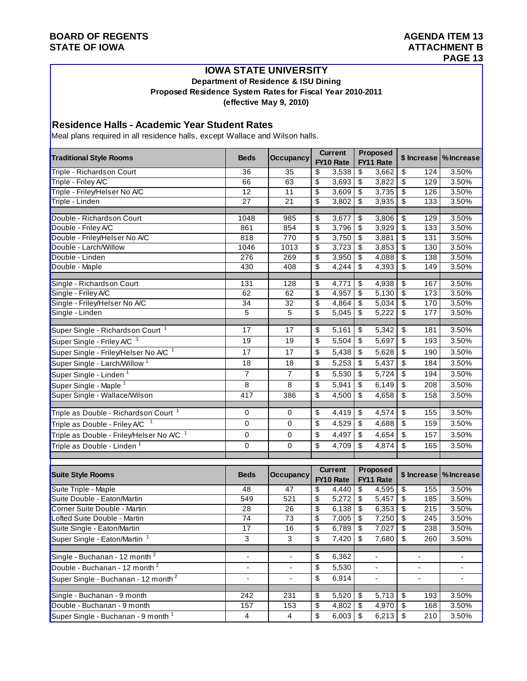## **IOWA STATE UNIVERSITY**

**Department of Residence & ISU Dining Proposed Residence System Rates for Fiscal Year 2010-2011 (effective May 9, 2010)**

## **Residence Halls - Academic Year Student Rates**

Meal plans required in all residence halls, except Wallace and Wilson halls.

| <b>Traditional Style Rooms</b>                   | <b>Beds</b>              | <b>Occupancy</b> | <b>Current</b>   |                                        | Proposed                 |                                | \$ Increase   % Increase |
|--------------------------------------------------|--------------------------|------------------|------------------|----------------------------------------|--------------------------|--------------------------------|--------------------------|
|                                                  |                          |                  | FY10 Rate        |                                        | FY11 Rate                |                                |                          |
| Triple - Richardson Court                        | 36                       | 35               | \$<br>3,538      | \$                                     | 3,662                    | \$<br>124                      | 3.50%                    |
| Triple - Friley A/C                              | 66                       | 63               | \$<br>3,693      | $\overline{\mathcal{S}}$               | 3,822                    | \$<br>129                      | 3.50%                    |
| Triple - Friley/Helser No A/C                    | 12                       | 11               | \$<br>3,609      | $\overline{\mathbf{e}}$                | 3,735                    | \$<br>126                      | 3.50%                    |
| Triple - Linden                                  | 27                       | 21               | \$<br>3,802      | $\overline{\$}$                        | 3,935                    | \$<br>133                      | 3.50%                    |
| Double - Richardson Court                        | 1048                     | 985              | \$<br>3,677      | $\overline{\mathfrak{s}}$              | 3,806                    | \$<br>129                      | 3.50%                    |
| Double - Friley A/C                              | 861                      | 854              | \$<br>3,796      | $\overline{\boldsymbol{\mathfrak{s}}}$ | 3,929                    | \$<br>133                      | 3.50%                    |
| Double - Friley/Helser No A/C                    | 818                      | 770              | \$<br>3,750      | \$                                     | 3,881                    | \$<br>131                      | 3.50%                    |
| Double - Larch/Willow                            | 1046                     | 1013             | \$<br>3,723      | $\overline{\mathbf{S}}$                | 3,853                    | \$<br>130                      | 3.50%                    |
| Double - Linden                                  | 276                      | 269              | \$<br>3,950      | $\overline{\mathbf{3}}$                | 4,088                    | $\overline{\mathbf{3}}$<br>138 | 3.50%                    |
| Double - Maple                                   | 430                      | 408              | \$<br>4,244      | $\overline{\$}$                        | 4,393                    | \$<br>149                      | 3.50%                    |
| Single - Richardson Court                        | 131                      | 128              | \$<br>4,771      | \$                                     | 4,938                    | \$<br>167                      | 3.50%                    |
| Single - Friley A/C                              | 62                       | 62               | \$<br>4,957      | $\overline{\mathfrak{s}}$              | 5,130                    | $\overline{\mathbf{3}}$<br>173 | 3.50%                    |
| Single - Friley/Helser No A/C                    | 34                       | 32               | \$<br>4,864      | $\overline{\mathcal{S}}$               | 5,034                    | $\overline{\$}$<br>170         | 3.50%                    |
| Single - Linden                                  | 5                        | 5                | \$<br>5,045      | $\overline{\$}$                        | 5,222                    | \$<br>177                      | 3.50%                    |
|                                                  |                          |                  |                  |                                        |                          |                                |                          |
| Super Single - Richardson Court <sup>1</sup>     | 17                       | 17               | \$<br>5,161      | \$                                     | 5,342                    | \$<br>181                      | 3.50%                    |
| Super Single - Friley A/C 1                      | 19                       | 19               | \$<br>5,504      | \$                                     | 5,697                    | \$<br>193                      | 3.50%                    |
| Super Single - Friley/Helser No A/C 1            | 17                       | 17               | \$<br>5,438      | $\sqrt[6]{2}$                          | 5,628                    | \$<br>190                      | 3.50%                    |
| Super Single - Larch/Willow <sup>1</sup>         | 18                       | 18               | \$<br>5,253      | $\sqrt[6]{\frac{1}{2}}$                | 5,437                    | \$<br>184                      | 3.50%                    |
| Super Single - Linden <sup>1</sup>               | $\overline{7}$           | $\overline{7}$   | \$<br>5,530      | $\sqrt[6]{3}$                          | 5,724                    | \$<br>194                      | 3.50%                    |
| Super Single - Maple <sup>1</sup>                | 8                        | 8                | \$<br>5,941      | $\sqrt[6]{\frac{1}{2}}$                | 6,149                    | \$<br>208                      | 3.50%                    |
| Super Single - Wallace/Wilson                    | 417                      | 386              | \$<br>4,500      | $\overline{\mathbf{s}}$                | 4,658                    | \$<br>158                      | 3.50%                    |
| Triple as Double - Richardson Court 1            | 0                        | 0                | \$<br>4,419      | \$                                     | 4,574                    | \$<br>155                      | 3.50%                    |
| Triple as Double - Friley A/C                    | 0                        | 0                | \$<br>4,529      | \$                                     | 4,688                    | \$<br>159                      | 3.50%                    |
| Triple as Double - Friley/Helser No A/C $^{\,1}$ | 0                        | 0                | \$<br>4,497      | $\boldsymbol{\mathsf{S}}$              | 4,654                    | \$<br>157                      | 3.50%                    |
| Triple as Double - Linden <sup>1</sup>           | 0                        | $\pmb{0}$        | \$<br>4,709      | \$                                     | 4,874                    | \$<br>165                      | 3.50%                    |
|                                                  |                          |                  |                  |                                        |                          |                                |                          |
|                                                  |                          |                  | <b>Current</b>   |                                        | Proposed                 |                                |                          |
| Suite Style Rooms                                | <b>Beds</b>              | <b>Occupancy</b> | FY10 Rate        |                                        | FY11 Rate                | \$ Increase                    | % Increase               |
| Suite Triple - Maple                             | 48                       | 47               | \$<br>4,440      | $\overline{\mathcal{E}}$               | 4,595                    | $\overline{\mathbf{e}}$<br>155 | 3.50%                    |
| Suite Double - Eaton/Martin                      | 549                      | 521              | \$<br>5,272      | $\overline{\mathcal{S}}$               | 5,457                    | $\overline{\$}$<br>185         | 3.50%                    |
| Corner Suite Double - Martin                     | 28                       | 26               | \$<br>6,138      | $\overline{\boldsymbol{\mathfrak{s}}}$ | 6,353                    | \$<br>$\overline{215}$         | 3.50%                    |
| Lofted Suite Double - Martin                     | 74                       | 73               | \$<br>7,005      | $\overline{\mathcal{S}}$               | 7,250                    | \$<br>245                      | 3.50%                    |
| Suite Single - Eaton/Martin                      | 17                       | 16               | \$<br>6,789      | $\overline{\$}$                        | 7,027                    | \$<br>238                      | 3.50%                    |
| Super Single - Eaton/Martin                      | 3                        | 3                | \$<br>7,420 \$   |                                        | 7,680                    | \$<br>260                      | 3.50%                    |
| Single - Buchanan - 12 month <sup>2</sup>        | $\overline{\phantom{0}}$ |                  | \$<br>6,362      |                                        |                          |                                |                          |
| Double - Buchanan - 12 month <sup>2</sup>        | $\overline{\phantom{0}}$ |                  | \$<br>5,530      |                                        | $\overline{\phantom{a}}$ |                                |                          |
| Super Single - Buchanan - 12 month <sup>2</sup>  | $\overline{a}$           |                  | \$<br>6,914      |                                        | $\overline{\phantom{a}}$ | $\overline{\phantom{a}}$       |                          |
|                                                  |                          |                  |                  |                                        |                          |                                |                          |
| Single - Buchanan - 9 month                      | 242                      | 231              | \$<br>5,520      | -\$                                    | 5,713                    | \$<br>193                      | 3.50%                    |
| Double - Buchanan - 9 month                      | 157                      | 153              | \$<br>4,802      | <b>\$</b>                              | 4,970                    | $\sqrt[6]{3}$<br>168           | 3.50%                    |
| Super Single - Buchanan - 9 month <sup>1</sup>   | $\overline{\mathbf{4}}$  | $\overline{4}$   | \$<br>$6,003$ \$ |                                        | 6,213                    | $\sqrt[6]{\frac{1}{2}}$<br>210 | 3.50%                    |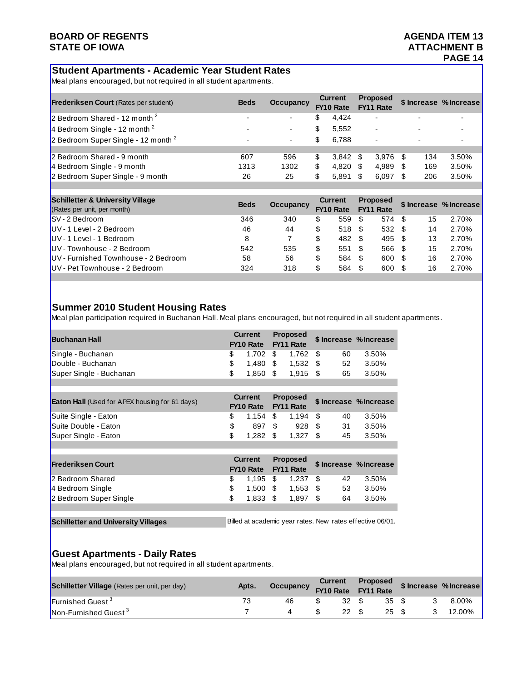#### **Student Apartments - Academic Year Student Rates**

Meal plans encouraged, but not required in all student apartments.

| <b>Frederiksen Court (Rates per student)</b>   | <b>Beds</b>    | Occupancy      | <b>Current</b><br><b>FY10 Rate</b> | <b>Proposed</b><br>FY11 Rate |            |     | \$ Increase % Increase |
|------------------------------------------------|----------------|----------------|------------------------------------|------------------------------|------------|-----|------------------------|
| 2 Bedroom Shared - 12 month $2$                | Ξ.             | $\sim$         | \$<br>4.424                        | $\overline{\phantom{a}}$     |            |     |                        |
| 4 Bedroom Single - 12 month $2$                | $\blacksquare$ | $\blacksquare$ | \$<br>5,552                        | $\overline{\phantom{a}}$     |            |     | -                      |
| 2 Bedroom Super Single - 12 month <sup>2</sup> | ٠              | $\sim$         | \$<br>6.788                        | $\overline{\phantom{a}}$     |            |     |                        |
| 2 Bedroom Shared - 9 month                     | 607            | 596            | \$<br>$3.842$ \$                   |                              | $3.976$ \$ | 134 | $3.50\%$               |
| 4 Bedroom Single - 9 month                     | 1313           | 1302           | \$<br>4,820                        | - \$                         | 4,989      | 169 | 3.50%                  |
| 2 Bedroom Super Single - 9 month               | 26             | 25             | \$<br>5.891                        |                              | 6.097      | 206 | 3.50%                  |

| <b>Schilletter &amp; University Village</b><br>(Rates per unit, per month) | <b>Beds</b> | Occupancy | <b>Proposed</b><br><b>Current</b><br>FY10 Rate<br>FY11 Rate |        |      |        | \$ Increase % Increase |    |       |
|----------------------------------------------------------------------------|-------------|-----------|-------------------------------------------------------------|--------|------|--------|------------------------|----|-------|
| <b>SV-2 Bedroom</b>                                                        | 346         | 340       | S                                                           | 559    | - \$ | 574 \$ |                        | 15 | 2.70% |
| $UV - 1$ Level - 2 Bedroom                                                 | 46          | 44        | \$                                                          | 518 \$ |      | 532 \$ |                        | 14 | 2.70% |
| UV - 1 Level - 1 Bedroom                                                   | 8           |           | \$                                                          | 482 \$ |      | 495 \$ |                        | 13 | 2.70% |
| UV - Townhouse - 2 Bedroom                                                 | 542         | 535       | \$                                                          | 551 \$ |      | 566 \$ |                        | 15 | 2.70% |
| <b>IUV</b> - Furnished Townhouse - 2 Bedroom                               | 58          | 56        | \$                                                          | 584    | - \$ | 600    | - \$                   | 16 | 2.70% |
| <b>IUV</b> - Pet Townhouse - 2 Bedroom                                     | 324         | 318       | \$                                                          | 584    |      | 600    |                        | 16 | 2.70% |

## **Summer 2010 Student Housing Rates**

Meal plan participation required in Buchanan Hall. Meal plans encouraged, but not required in all student apartments.

| <b>Buchanan Hall</b>    | <b>Current</b><br>FY10 Rate FY11 Rate |            | <b>Proposed</b> |            |    | \$ Increase % Increase |  |  |
|-------------------------|---------------------------------------|------------|-----------------|------------|----|------------------------|--|--|
| Single - Buchanan       |                                       | 1.702 \$   |                 | 1.762 \$   | 60 | 3.50%                  |  |  |
| Double - Buchanan       |                                       | $1.480$ \$ |                 | $1.532$ \$ | 52 | 3.50%                  |  |  |
| Super Single - Buchanan |                                       | $1.850$ \$ |                 | $1.915$ \$ | 65 | 3.50%                  |  |  |
|                         |                                       |            |                 |            |    |                        |  |  |
|                         |                                       |            |                 |            |    |                        |  |  |

| <b>Eaton Hall</b> (Used for APEX housing for 61 days) | <b>Current</b><br>FY10 Rate FY11 Rate |          | Proposed \$ Increase % Increase |  |     |       |
|-------------------------------------------------------|---------------------------------------|----------|---------------------------------|--|-----|-------|
| Suite Single - Eaton                                  |                                       |          | \$ 1.154 \$ 1.194 \$            |  | 40  | 3.50% |
| Suite Double - Eaton                                  |                                       | 897 \$   | 928 \$                          |  | -31 | 3.50% |
| Super Single - Eaton                                  |                                       | 1.282 \$ | $1.327$ \$                      |  | 45  | 3.50% |

| Frederiksen Court      | <b>Current</b><br>FY11 Rate<br>FY10 Rate |  |            |      |    | Proposed \$ Increase % Increase |
|------------------------|------------------------------------------|--|------------|------|----|---------------------------------|
| 2 Bedroom Shared       | 1.195 \$                                 |  | 1.237 \$   |      | 42 | 3.50%                           |
| 4 Bedroom Single       | $1.500$ \$                               |  | $1.553$ \$ |      | 53 | 3.50%                           |
| 2 Bedroom Super Single | $1.833$ \$                               |  | 1.897      | - \$ | 64 | 3.50%                           |

**Schilletter and University Villages**

Billed at academic year rates. New rates effective 06/01.

#### **Guest Apartments - Daily Rates**

Meal plans encouraged, but not required in all student apartments.

| <b>Schilletter Village</b> (Rates per unit, per day) | Apts. | Current Proposed \$ Increase % Increase<br>Occupancy FY10 Rate FY11 Rate \$ Increase % Increase |      |       |             |  |          |
|------------------------------------------------------|-------|-------------------------------------------------------------------------------------------------|------|-------|-------------|--|----------|
| Furnished Guest <sup>3</sup>                         |       | 46.                                                                                             | S.   |       | 32 \$ 35 \$ |  | 3 8.00%  |
| Non-Furnished Guest <sup>3</sup>                     |       | 4                                                                                               | - SS | 22 \$ | 25 S        |  | 3 12.00% |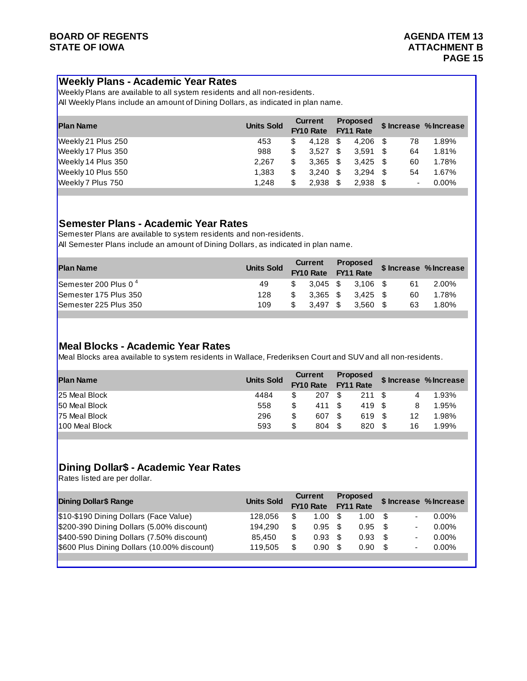## **Weekly Plans - Academic Year Rates**

Weekly Plans are available to all system residents and all non-residents.

All Weekly Plans include an amount of Dining Dollars, as indicated in plan name.

| <b>Plan Name</b>   | <b>Units Sold</b> | <b>Current</b><br><b>FY10 Rate</b> |       | <b>Proposed</b><br>FY11 Rate |       |      |                          | \$ Increase % Increase |
|--------------------|-------------------|------------------------------------|-------|------------------------------|-------|------|--------------------------|------------------------|
| Weekly 21 Plus 250 | 453               |                                    | 4.128 | \$.                          | 4.206 | - \$ | 78                       | 1.89%                  |
| Weekly 17 Plus 350 | 988               |                                    | 3.527 | \$.                          | 3.591 | - \$ | 64                       | 1.81%                  |
| Weekly 14 Plus 350 | 2.267             |                                    | 3.365 | \$.                          | 3.425 | - \$ | 60                       | 1.78%                  |
| Weekly 10 Plus 550 | 1.383             |                                    | 3.240 | \$.                          | 3.294 | - \$ | 54                       | 1.67%                  |
| Weekly 7 Plus 750  | 1.248             |                                    | 2.938 | \$                           | 2.938 | - \$ | $\overline{\phantom{0}}$ | $0.00\%$               |

### **Semester Plans - Academic Year Rates**

Semester Plans are available to system residents and non-residents.

All Semester Plans include an amount of Dining Dollars, as indicated in plan name.

| <b>Plan Name</b>                 | <b>Units Sold</b> | <b>Current</b><br>FY10 Rate |          |  |                   |  |     | Proposed \$ Increase % Increase |
|----------------------------------|-------------------|-----------------------------|----------|--|-------------------|--|-----|---------------------------------|
| Semester 200 Plus 0 <sup>4</sup> | 49                |                             |          |  | 3.045 \$ 3.106 \$ |  | -61 | 2.00%                           |
| Semester 175 Plus 350            | 128               |                             |          |  | 3.365 \$ 3.425 \$ |  | 60  | 1.78%                           |
| Semester 225 Plus 350            | 109               |                             | 3.497 \$ |  | 3.560 \$          |  | 63  | 1.80%                           |

## **Meal Blocks - Academic Year Rates**

Meal Blocks area available to system residents in Wallace, Frederiksen Court and SUV and all non-residents.

| <b>Plan Name</b> | <b>Units Sold</b> | <b>Current</b><br>FY10 Rate |        | Proposed<br>FY11 Rate |       | \$ Increase % Increase |    |       |
|------------------|-------------------|-----------------------------|--------|-----------------------|-------|------------------------|----|-------|
| 25 Meal Block    | 4484              |                             | 207    | S                     | 211S  |                        |    | 1.93% |
| 50 Meal Block    | 558               |                             | 411 \$ |                       | 419 S |                        | 8  | 1.95% |
| 75 Meal Block    | 296               |                             | 607    |                       | 619   | - \$                   | 12 | 1.98% |
| 100 Meal Block   | 593               |                             | 804    |                       | 820   |                        | 16 | 1.99% |

## **Dining Dollar\$ - Academic Year Rates**

Rates listed are per dollar.

| <b>Dining Dollar\$ Range</b>                | <b>Units Sold</b> | <b>Current</b><br>FY10 Rate |                   | <b>Proposed</b><br>FY11 Rate |      |  |  | \$ Increase % Increase |
|---------------------------------------------|-------------------|-----------------------------|-------------------|------------------------------|------|--|--|------------------------|
| \$10-\$190 Dining Dollars (Face Value)      | 128.056           | \$                          | 1.00              |                              | 1.00 |  |  | $0.00\%$               |
| \$200-390 Dining Dollars (5.00% discount)   | 194.290           | S                           | 0.95 <sup>5</sup> |                              | 0.95 |  |  | $0.00\%$               |
| \$400-590 Dining Dollars (7.50% discount)   | 85.450            |                             | 0.93 <sup>5</sup> |                              | 0.93 |  |  | $0.00\%$               |
| \$600 Plus Dining Dollars (10.00% discount) | 119.505           |                             | 0.90              |                              | 0.90 |  |  | $0.00\%$               |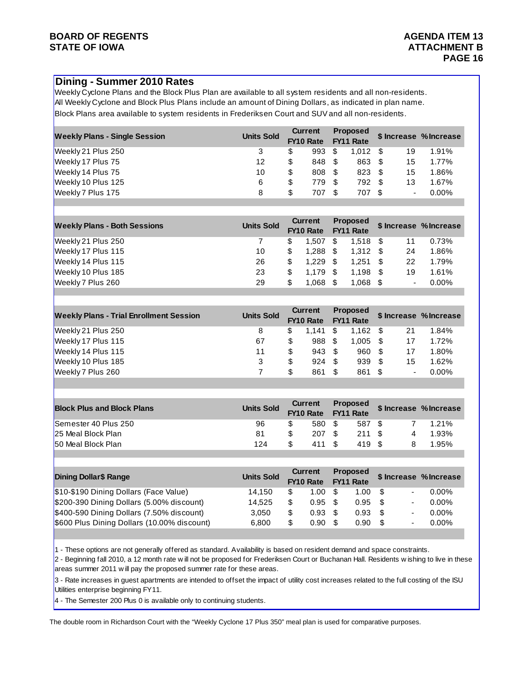### **Dining - Summer 2010 Rates**

Block Plans area available to system residents in Frederiksen Court and SUV and all non-residents. All Weekly Cyclone and Block Plus Plans include an amount of Dining Dollars, as indicated in plan name. Weekly Cyclone Plans and the Block Plus Plan are available to all system residents and all non-residents.

| <b>Weekly Plans - Single Session</b> | <b>Units Sold</b> | <b>Current</b><br><b>FY10 Rate</b> |     | <b>Proposed</b><br>FY11 Rate |       |      |                | \$ Increase % Increase |
|--------------------------------------|-------------------|------------------------------------|-----|------------------------------|-------|------|----------------|------------------------|
| Weekly 21 Plus 250                   |                   |                                    | 993 |                              | 1.012 | - \$ | 19             | 1.91%                  |
| Weekly 17 Plus 75                    | 12                | S                                  | 848 |                              | 863   | - \$ | 15             | 1.77%                  |
| Weekly 14 Plus 75                    | 10                | \$                                 | 808 |                              | 823   | - \$ | 15             | 1.86%                  |
| Weekly 10 Plus 125                   | 6                 | \$                                 | 779 |                              | 792   | - \$ | 13             | 1.67%                  |
| Weekly 7 Plus 175                    | 8                 |                                    | 707 |                              | 707   | - \$ | $\blacksquare$ | $0.00\%$               |

| <b>Weekly Plans - Both Sessions</b> | <b>Units Sold</b> | <b>Current</b><br>FY10 Rate |       | <b>Proposed</b><br>FY11 Rate |            |      |                | \$ Increase % Increase |
|-------------------------------------|-------------------|-----------------------------|-------|------------------------------|------------|------|----------------|------------------------|
| Weekly 21 Plus 250                  |                   |                             | 1.507 | \$                           | 1.518      | - \$ |                | 0.73%                  |
| Weekly 17 Plus 115                  | 10                |                             | 1.288 | \$.                          | $1.312$ \$ |      | 24             | 1.86%                  |
| Weekly 14 Plus 115                  | 26                |                             | 1.229 | \$.                          | 1.251      | - \$ | 22             | 1.79%                  |
| Weekly 10 Plus 185                  | 23                |                             | 1.179 | -S                           | $1.198$ \$ |      | 19             | 1.61%                  |
| Weekly 7 Plus 260                   | 29                |                             | 1.068 | \$.                          | $1.068$ \$ |      | $\blacksquare$ | $0.00\%$               |

| <b>Weekly Plans - Trial Enrollment Session</b> | <b>Units Sold</b> | <b>Current</b><br>FY10 Rate |       | <b>Proposed</b><br>FY11 Rate |       |      |                          | \$ Increase % Increase |  |
|------------------------------------------------|-------------------|-----------------------------|-------|------------------------------|-------|------|--------------------------|------------------------|--|
| Weekly 21 Plus 250                             | 8                 | S                           | 1.141 | \$                           | 1.162 | - \$ | 21                       | 1.84%                  |  |
| Weekly 17 Plus 115                             | 67                | S                           | 988   | \$.                          | 1.005 | - \$ |                          | 1.72%                  |  |
| Weekly 14 Plus 115                             | 11                | S                           | 943   |                              | 960   | - \$ |                          | 1.80%                  |  |
| Weekly 10 Plus 185                             | 3                 | S                           | 924   | - 95                         | 939   | - \$ | 15                       | 1.62%                  |  |
| Weekly 7 Plus 260                              |                   | S.                          | 861   |                              | 861   |      | $\overline{\phantom{0}}$ | $0.00\%$               |  |

| <b>Block Plus and Block Plans</b> | <b>Units Sold</b> | <b>Current</b><br>FY10 Rate |       | Proposed<br>FY11 Rate |       |  |  | \$ Increase % Increase |
|-----------------------------------|-------------------|-----------------------------|-------|-----------------------|-------|--|--|------------------------|
| Semester 40 Plus 250              | 96                |                             | 580   |                       | 587 S |  |  | 1.21%                  |
| 25 Meal Block Plan                | 81                |                             | 207   |                       | 211 S |  |  | 1.93%                  |
| <b>50 Meal Block Plan</b>         | 124               |                             | 411 S |                       | 419 S |  |  | 1.95%                  |

| <b>Dining Dollar\$ Range</b>                | <b>Units Sold</b> |   | <b>Current</b><br>FY10 Rate | <b>Proposed</b><br>FY11 Rate |      | \$ Increase % Increase |
|---------------------------------------------|-------------------|---|-----------------------------|------------------------------|------|------------------------|
| \$10-\$190 Dining Dollars (Face Value)      | 14.150            | S | 1.00                        | 1.00                         |      | 0.00%                  |
| \$200-390 Dining Dollars (5.00% discount)   | 14.525            | S | 0.95                        | 0.95                         | - \$ | 0.00%                  |
| \$400-590 Dining Dollars (7.50% discount)   | 3.050             | S | 0.93                        | 0.93                         | - \$ | 0.00%                  |
| \$600 Plus Dining Dollars (10.00% discount) | 6.800             | S | 0.90                        | 0.90                         | -\$  | $0.00\%$               |

1 - These options are not generally offered as standard. Availability is based on resident demand and space constraints.

2 - Beginning fall 2010, a 12 month rate w ill not be proposed for Frederiksen Court or Buchanan Hall. Residents w ishing to live in these areas summer 2011 will pay the proposed summer rate for these areas.

3 - Rate increases in guest apartments are intended to offset the impact of utility cost increases related to the full costing of the ISU Utilities enterprise beginning FY11.

4 - The Semester 200 Plus 0 is available only to continuing students.

The double room in Richardson Court with the "Weekly Cyclone 17 Plus 350" meal plan is used for comparative purposes.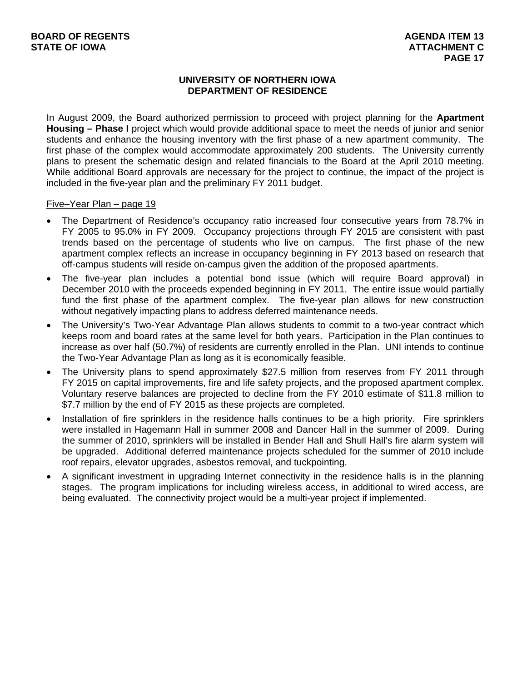### **UNIVERSITY OF NORTHERN IOWA DEPARTMENT OF RESIDENCE**

In August 2009, the Board authorized permission to proceed with project planning for the **Apartment Housing – Phase I** project which would provide additional space to meet the needs of junior and senior students and enhance the housing inventory with the first phase of a new apartment community. The first phase of the complex would accommodate approximately 200 students. The University currently plans to present the schematic design and related financials to the Board at the April 2010 meeting. While additional Board approvals are necessary for the project to continue, the impact of the project is included in the five-year plan and the preliminary FY 2011 budget.

#### Five–Year Plan – page 19

- The Department of Residence's occupancy ratio increased four consecutive years from 78.7% in FY 2005 to 95.0% in FY 2009. Occupancy projections through FY 2015 are consistent with past trends based on the percentage of students who live on campus. The first phase of the new apartment complex reflects an increase in occupancy beginning in FY 2013 based on research that off-campus students will reside on-campus given the addition of the proposed apartments.
- The five-year plan includes a potential bond issue (which will require Board approval) in December 2010 with the proceeds expended beginning in FY 2011. The entire issue would partially fund the first phase of the apartment complex. The five-year plan allows for new construction without negatively impacting plans to address deferred maintenance needs.
- The University's Two-Year Advantage Plan allows students to commit to a two-year contract which keeps room and board rates at the same level for both years. Participation in the Plan continues to increase as over half (50.7%) of residents are currently enrolled in the Plan. UNI intends to continue the Two-Year Advantage Plan as long as it is economically feasible.
- The University plans to spend approximately \$27.5 million from reserves from FY 2011 through FY 2015 on capital improvements, fire and life safety projects, and the proposed apartment complex. Voluntary reserve balances are projected to decline from the FY 2010 estimate of \$11.8 million to \$7.7 million by the end of FY 2015 as these projects are completed.
- Installation of fire sprinklers in the residence halls continues to be a high priority. Fire sprinklers were installed in Hagemann Hall in summer 2008 and Dancer Hall in the summer of 2009. During the summer of 2010, sprinklers will be installed in Bender Hall and Shull Hall's fire alarm system will be upgraded. Additional deferred maintenance projects scheduled for the summer of 2010 include roof repairs, elevator upgrades, asbestos removal, and tuckpointing.
- A significant investment in upgrading Internet connectivity in the residence halls is in the planning stages. The program implications for including wireless access, in additional to wired access, are being evaluated. The connectivity project would be a multi-year project if implemented.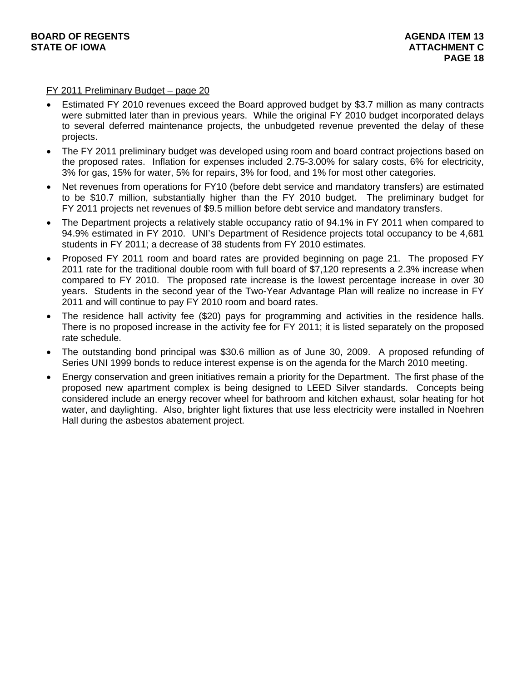#### FY 2011 Preliminary Budget – page 20

- Estimated FY 2010 revenues exceed the Board approved budget by \$3.7 million as many contracts were submitted later than in previous years. While the original FY 2010 budget incorporated delays to several deferred maintenance projects, the unbudgeted revenue prevented the delay of these projects.
- The FY 2011 preliminary budget was developed using room and board contract projections based on the proposed rates. Inflation for expenses included 2.75-3.00% for salary costs, 6% for electricity, 3% for gas, 15% for water, 5% for repairs, 3% for food, and 1% for most other categories.
- Net revenues from operations for FY10 (before debt service and mandatory transfers) are estimated to be \$10.7 million, substantially higher than the FY 2010 budget. The preliminary budget for FY 2011 projects net revenues of \$9.5 million before debt service and mandatory transfers.
- The Department projects a relatively stable occupancy ratio of 94.1% in FY 2011 when compared to 94.9% estimated in FY 2010. UNI's Department of Residence projects total occupancy to be 4,681 students in FY 2011; a decrease of 38 students from FY 2010 estimates.
- Proposed FY 2011 room and board rates are provided beginning on page 21. The proposed FY 2011 rate for the traditional double room with full board of \$7,120 represents a 2.3% increase when compared to FY 2010. The proposed rate increase is the lowest percentage increase in over 30 years. Students in the second year of the Two-Year Advantage Plan will realize no increase in FY 2011 and will continue to pay FY 2010 room and board rates.
- The residence hall activity fee (\$20) pays for programming and activities in the residence halls. There is no proposed increase in the activity fee for FY 2011; it is listed separately on the proposed rate schedule.
- The outstanding bond principal was \$30.6 million as of June 30, 2009. A proposed refunding of Series UNI 1999 bonds to reduce interest expense is on the agenda for the March 2010 meeting.
- Energy conservation and green initiatives remain a priority for the Department. The first phase of the proposed new apartment complex is being designed to LEED Silver standards. Concepts being considered include an energy recover wheel for bathroom and kitchen exhaust, solar heating for hot water, and daylighting. Also, brighter light fixtures that use less electricity were installed in Noehren Hall during the asbestos abatement project.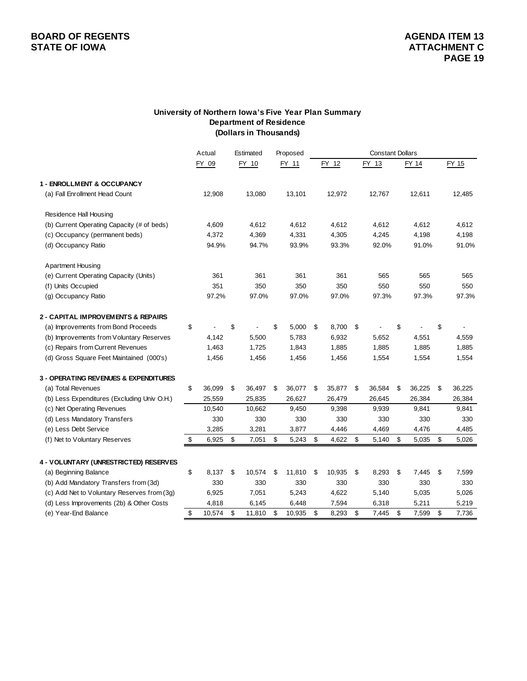# **BOARD OF REGENTS**<br> **BOARD OF REGENTS**<br> **BOARD OF IOWA**<br> **ATTACHMENT C**

#### **University of Northern Iowa's Five Year Plan Summary Department of Residence (Dollars in Thousands)**

|                                               | Actual       | Estimated    | Proposed     |              |      | <b>Constant Dollars</b> |              |              |
|-----------------------------------------------|--------------|--------------|--------------|--------------|------|-------------------------|--------------|--------------|
|                                               | FY 09        | FY 10        | FY 11        | FY 12        |      | FY 13                   | FY 14        | FY 15        |
| <b>1 - ENROLLMENT &amp; OCCUPANCY</b>         |              |              |              |              |      |                         |              |              |
| (a) Fall Enrollment Head Count                | 12,908       | 13,080       | 13,101       | 12,972       |      | 12,767                  | 12,611       | 12,485       |
| Residence Hall Housing                        |              |              |              |              |      |                         |              |              |
| (b) Current Operating Capacity (# of beds)    | 4,609        | 4,612        | 4,612        | 4,612        |      | 4,612                   | 4,612        | 4,612        |
| (c) Occupancy (permanent beds)                | 4,372        | 4,369        | 4,331        | 4,305        |      | 4,245                   | 4,198        | 4,198        |
| (d) Occupancy Ratio                           | 94.9%        | 94.7%        | 93.9%        | 93.3%        |      | 92.0%                   | 91.0%        | 91.0%        |
| <b>Apartment Housing</b>                      |              |              |              |              |      |                         |              |              |
| (e) Current Operating Capacity (Units)        | 361          | 361          | 361          | 361          |      | 565                     | 565          | 565          |
| (f) Units Occupied                            | 351          | 350          | 350          | 350          |      | 550                     | 550          | 550          |
| (g) Occupancy Ratio                           | 97.2%        | 97.0%        | 97.0%        | 97.0%        |      | 97.3%                   | 97.3%        | 97.3%        |
| <b>2 - CAPITAL IMPROVEMENTS &amp; REPAIRS</b> |              |              |              |              |      |                         |              |              |
| (a) Improvements from Bond Proceeds           | \$           | \$           | \$<br>5,000  | \$<br>8,700  | - \$ |                         | \$           | \$           |
| (b) Improvements from Voluntary Reserves      | 4,142        | 5,500        | 5,783        | 6,932        |      | 5,652                   | 4,551        | 4,559        |
| (c) Repairs from Current Revenues             | 1,463        | 1,725        | 1,843        | 1,885        |      | 1,885                   | 1,885        | 1,885        |
| (d) Gross Square Feet Maintained (000's)      | 1,456        | 1,456        | 1,456        | 1,456        |      | 1,554                   | 1,554        | 1,554        |
| 3 - OPERATING REVENUES & EXPENDITURES         |              |              |              |              |      |                         |              |              |
| (a) Total Revenues                            | \$<br>36,099 | \$<br>36,497 | \$<br>36,077 | \$<br>35,877 | \$   | 36,584                  | \$<br>36,225 | \$<br>36,225 |
| (b) Less Expenditures (Excluding Univ O.H.)   | 25,559       | 25,835       | 26,627       | 26,479       |      | 26,645                  | 26,384       | 26,384       |
| (c) Net Operating Revenues                    | 10,540       | 10,662       | 9,450        | 9,398        |      | 9,939                   | 9,841        | 9,841        |
| (d) Less Mandatory Transfers                  | 330          | 330          | 330          | 330          |      | 330                     | 330          | 330          |
| (e) Less Debt Service                         | 3,285        | 3,281        | 3,877        | 4,446        |      | 4,469                   | 4,476        | 4,485        |
| (f) Net to Voluntary Reserves                 | \$<br>6,925  | \$<br>7,051  | \$<br>5,243  | \$<br>4,622  | \$   | 5,140                   | \$<br>5,035  | \$<br>5,026  |
| 4 - VOLUNTARY (UNRESTRICTED) RESERVES         |              |              |              |              |      |                         |              |              |
| (a) Beginning Balance                         | \$<br>8,137  | \$<br>10,574 | \$<br>11,810 | \$<br>10,935 | \$   | 8,293                   | \$<br>7,445  | \$<br>7,599  |
| (b) Add Mandatory Transfers from (3d)         | 330          | 330          | 330          | 330          |      | 330                     | 330          | 330          |
| (c) Add Net to Voluntary Reserves from (3g)   | 6,925        | 7,051        | 5,243        | 4,622        |      | 5,140                   | 5,035        | 5,026        |
| (d) Less Improvements (2b) & Other Costs      | 4,818        | 6,145        | 6,448        | 7,594        |      | 6,318                   | 5,211        | 5,219        |
| (e) Year-End Balance                          | \$<br>10,574 | \$<br>11,810 | \$<br>10,935 | \$<br>8,293  | \$   | 7,445                   | \$<br>7,599  | \$<br>7,736  |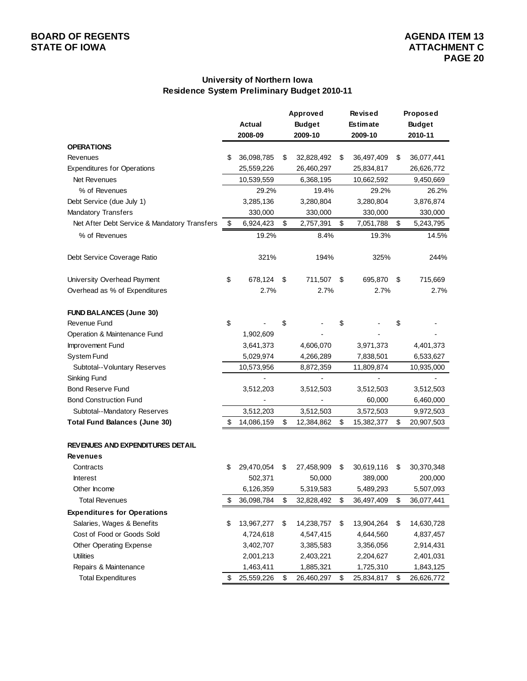## **University of Northern Iowa Residence System Preliminary Budget 2010-11**

|                                              |    |                          | Approved |               | <b>Revised</b> | Proposed        |    |               |
|----------------------------------------------|----|--------------------------|----------|---------------|----------------|-----------------|----|---------------|
|                                              |    | Actual                   |          | <b>Budget</b> |                | <b>Estimate</b> |    | <b>Budget</b> |
|                                              |    | 2008-09                  |          | 2009-10       |                | 2009-10         |    | 2010-11       |
| <b>OPERATIONS</b>                            |    |                          |          |               |                |                 |    |               |
| Revenues                                     | S  | 36,098,785               | \$       | 32,828,492    | \$             | 36,497,409      | \$ | 36,077,441    |
| <b>Expenditures for Operations</b>           |    | 25,559,226               |          | 26,460,297    |                | 25,834,817      |    | 26,626,772    |
| Net Revenues                                 |    | 10,539,559               |          | 6,368,195     |                | 10,662,592      |    | 9,450,669     |
| % of Revenues                                |    | 29.2%                    |          | 19.4%         |                | 29.2%           |    | 26.2%         |
| Debt Service (due July 1)                    |    | 3,285,136                |          | 3,280,804     |                | 3,280,804       |    | 3,876,874     |
| <b>Mandatory Transfers</b>                   |    | 330,000                  |          | 330,000       |                | 330,000         |    | 330,000       |
| Net After Debt Service & Mandatory Transfers | \$ | 6,924,423                | \$       | 2,757,391     | \$             | 7,051,788       | \$ | 5,243,795     |
| % of Revenues                                |    | 19.2%                    |          | 8.4%          |                | 19.3%           |    | 14.5%         |
| Debt Service Coverage Ratio                  |    | 321%                     |          | 194%          |                | 325%            |    | 244%          |
| University Overhead Payment                  | \$ | 678,124                  | \$       | 711,507       | \$             | 695,870         | \$ | 715,669       |
| Overhead as % of Expenditures                |    | 2.7%                     |          | 2.7%          |                | 2.7%            |    | 2.7%          |
| <b>FUND BALANCES (June 30)</b>               |    |                          |          |               |                |                 |    |               |
| Revenue Fund                                 | \$ |                          | \$       |               | \$             |                 | \$ |               |
| Operation & Maintenance Fund                 |    | 1,902,609                |          |               |                |                 |    |               |
| Improvement Fund                             |    | 3,641,373                |          | 4,606,070     |                | 3,971,373       |    | 4,401,373     |
| System Fund                                  |    | 5,029,974                |          | 4,266,289     |                | 7,838,501       |    | 6,533,627     |
| Subtotal--Voluntary Reserves                 |    | 10,573,956               |          | 8,872,359     |                | 11,809,874      |    | 10,935,000    |
| Sinking Fund                                 |    | $\overline{\phantom{a}}$ |          |               |                | $\blacksquare$  |    |               |
| <b>Bond Reserve Fund</b>                     |    | 3,512,203                |          | 3,512,503     |                | 3,512,503       |    | 3,512,503     |
| <b>Bond Construction Fund</b>                |    |                          |          |               |                | 60,000          |    | 6,460,000     |
| Subtotal--Mandatory Reserves                 |    | 3,512,203                |          | 3,512,503     |                | 3,572,503       |    | 9,972,503     |
| <b>Total Fund Balances (June 30)</b>         |    | 14,086,159               | \$       | 12,384,862    | \$             | 15,382,377      | \$ | 20,907,503    |
| REVENUES AND EXPENDITURES DETAIL             |    |                          |          |               |                |                 |    |               |
| <b>Revenues</b>                              |    |                          |          |               |                |                 |    |               |
| Contracts                                    | S  | 29,470,054               | \$       | 27,458,909    | \$             | 30,619,116      | \$ | 30,370,348    |
| <b>Interest</b>                              |    | 502,371                  |          | 50,000        |                | 389,000         |    | 200,000       |
| Other Income                                 |    | 6,126,359                |          | 5,319,583     |                | 5,489,293       |    | 5,507,093     |
| <b>Total Revenues</b>                        | \$ | 36,098,784               | \$       | 32,828,492    | \$             | 36,497,409      | \$ | 36,077,441    |
| <b>Expenditures for Operations</b>           |    |                          |          |               |                |                 |    |               |
| Salaries, Wages & Benefits                   | \$ | 13,967,277               | \$       | 14,238,757    | \$             | 13,904,264      | \$ | 14,630,728    |
| Cost of Food or Goods Sold                   |    | 4,724,618                |          | 4,547,415     |                | 4,644,560       |    | 4,837,457     |
| Other Operating Expense                      |    | 3,402,707                |          | 3,385,583     |                | 3,356,056       |    | 2,914,431     |
| <b>Utilities</b>                             |    | 2,001,213                |          | 2,403,221     |                | 2,204,627       |    | 2,401,031     |
| Repairs & Maintenance                        |    | 1,463,411                |          | 1,885,321     |                | 1,725,310       |    | 1,843,125     |
| <b>Total Expenditures</b>                    |    | 25,559,226               | \$       | 26,460,297    | \$             | 25,834,817      | \$ | 26,626,772    |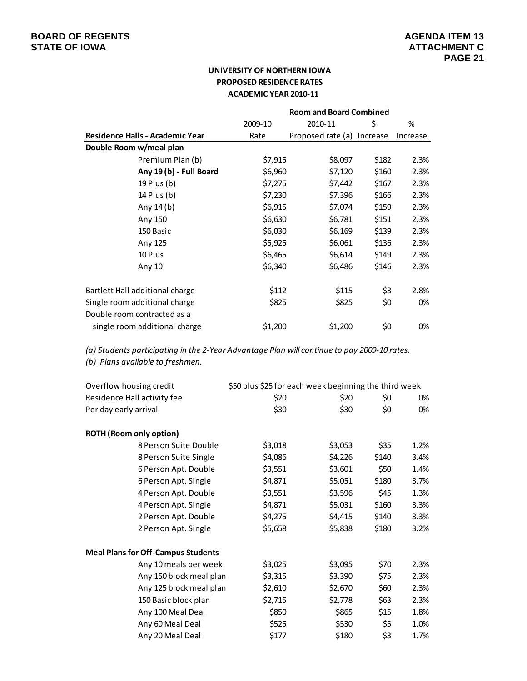## **UNIVERSITY OF NORTHERN IOWA PROPOSED RESIDENCE RATES ACADEMIC YEAR 2010‐11**

|                                                              | <b>Room and Board Combined</b> |                            |       |          |  |  |
|--------------------------------------------------------------|--------------------------------|----------------------------|-------|----------|--|--|
|                                                              | 2009-10                        | 2010-11                    | \$    | %        |  |  |
| <b>Residence Halls - Academic Year</b>                       | Rate                           | Proposed rate (a) Increase |       | Increase |  |  |
| Double Room w/meal plan                                      |                                |                            |       |          |  |  |
| Premium Plan (b)                                             | \$7,915                        | \$8,097                    | \$182 | 2.3%     |  |  |
| Any 19 (b) - Full Board                                      | \$6,960                        | \$7,120                    | \$160 | 2.3%     |  |  |
| 19 Plus (b)                                                  | \$7,275                        | \$7,442                    | \$167 | 2.3%     |  |  |
| 14 Plus (b)                                                  | \$7,230                        | \$7,396                    | \$166 | 2.3%     |  |  |
| Any $14(b)$                                                  | \$6,915                        | \$7,074                    | \$159 | 2.3%     |  |  |
| Any 150                                                      | \$6,630                        | \$6,781                    | \$151 | 2.3%     |  |  |
| 150 Basic                                                    | \$6,030                        | \$6,169                    | \$139 | 2.3%     |  |  |
| Any 125                                                      | \$5,925                        | \$6,061                    | \$136 | 2.3%     |  |  |
| 10 Plus                                                      | \$6,465                        | \$6,614                    | \$149 | 2.3%     |  |  |
| Any 10                                                       | \$6,340                        | \$6,486                    | \$146 | 2.3%     |  |  |
| Bartlett Hall additional charge                              | \$112                          | \$115                      | \$3   | 2.8%     |  |  |
| Single room additional charge                                | \$825                          | \$825                      | \$0   | 0%       |  |  |
| Double room contracted as a<br>single room additional charge | \$1,200                        | \$1,200                    | \$0   | 0%       |  |  |

*(a) Students participating in the 2‐Year Advantage Plan will continue to pay 2009‐10 rates. (b) Plans available to freshmen.*

| Overflow housing credit                   | \$50 plus \$25 for each week beginning the third week |         |       |      |
|-------------------------------------------|-------------------------------------------------------|---------|-------|------|
| Residence Hall activity fee               | \$20                                                  | \$20    | \$0   | 0%   |
| Per day early arrival                     | \$30                                                  | \$30    | \$0   | 0%   |
| <b>ROTH (Room only option)</b>            |                                                       |         |       |      |
| 8 Person Suite Double                     | \$3,018                                               | \$3,053 | \$35  | 1.2% |
| 8 Person Suite Single                     | \$4,086                                               | \$4,226 | \$140 | 3.4% |
| 6 Person Apt. Double                      | \$3,551                                               | \$3,601 | \$50  | 1.4% |
| 6 Person Apt. Single                      | \$4,871                                               | \$5,051 | \$180 | 3.7% |
| 4 Person Apt. Double                      | \$3,551                                               | \$3,596 | \$45  | 1.3% |
| 4 Person Apt. Single                      | \$4,871                                               | \$5,031 | \$160 | 3.3% |
| 2 Person Apt. Double                      | \$4,275                                               | \$4,415 | \$140 | 3.3% |
| 2 Person Apt. Single                      | \$5,658                                               | \$5,838 | \$180 | 3.2% |
| <b>Meal Plans for Off-Campus Students</b> |                                                       |         |       |      |
| Any 10 meals per week                     | \$3,025                                               | \$3,095 | \$70  | 2.3% |
| Any 150 block meal plan                   | \$3,315                                               | \$3,390 | \$75  | 2.3% |
| Any 125 block meal plan                   | \$2,610                                               | \$2,670 | \$60  | 2.3% |
| 150 Basic block plan                      | \$2,715                                               | \$2,778 | \$63  | 2.3% |
| Any 100 Meal Deal                         | \$850                                                 | \$865   | \$15  | 1.8% |
| Any 60 Meal Deal                          | \$525                                                 | \$530   | \$5   | 1.0% |
| Any 20 Meal Deal                          | \$177                                                 | \$180   | \$3   | 1.7% |